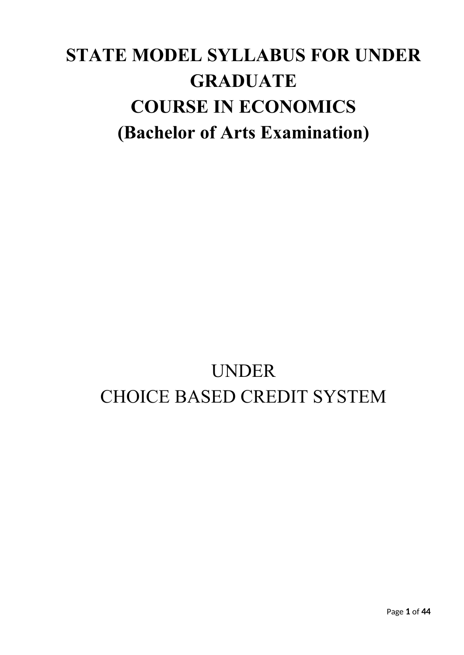# **STATE MODEL SYLLABUS FOR UNDER GRADUATE COURSE IN ECONOMICS (Bachelor of Arts Examination)**

# UNDER CHOICE BASED CREDIT SYSTEM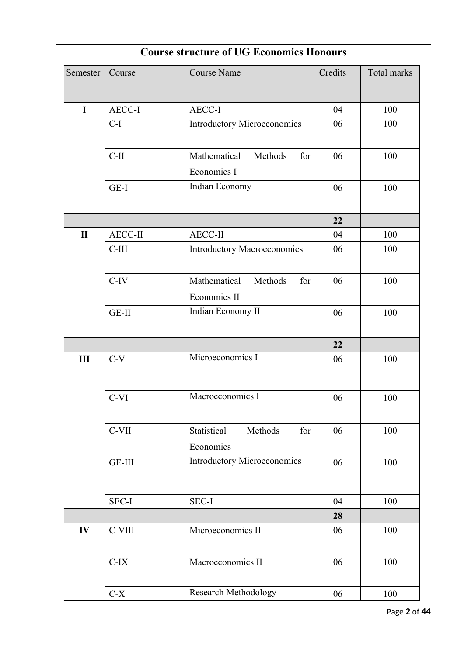| Semester     | Course         | <b>Course Name</b>                             | Credits | Total marks |
|--------------|----------------|------------------------------------------------|---------|-------------|
|              |                |                                                |         |             |
| $\mathbf I$  | AECC-I         | AECC-I                                         | 04      | 100         |
|              | $C-I$          | <b>Introductory Microeconomics</b>             | 06      | 100         |
|              | $C-II$         | Mathematical<br>Methods<br>for<br>Economics I  | 06      | 100         |
|              | GE-I           | Indian Economy                                 | 06      | 100         |
|              |                |                                                | 22      |             |
| $\mathbf{I}$ | <b>AECC-II</b> | <b>AECC-II</b>                                 | 04      | 100         |
|              | $C-III$        | <b>Introductory Macroeconomics</b>             | 06      | 100         |
|              | $C-IV$         | Mathematical<br>Methods<br>for<br>Economics II | 06      | 100         |
|              | GE-II          | Indian Economy II                              | 06      | 100         |
|              |                |                                                | 22      |             |
| III          | $C-V$          | Microeconomics I                               | 06      | 100         |
|              | C-VI           | Macroeconomics I                               | 06      | 100         |
|              | $C-VII$        | Methods<br>Statistical<br>for<br>Economics     | 06      | 100         |
|              | GE-III         | <b>Introductory Microeconomics</b>             | 06      | 100         |
|              | <b>SEC-I</b>   | SEC-I                                          | 04      | 100         |
|              |                |                                                | 28      |             |
| IV           | C-VIII         | Microeconomics II                              | 06      | 100         |
|              | $C-IX$         | Macroeconomics II                              | 06      | 100         |
|              | $C-X$          | Research Methodology                           | 06      | 100         |

# **Course structure of UG Economics Honours**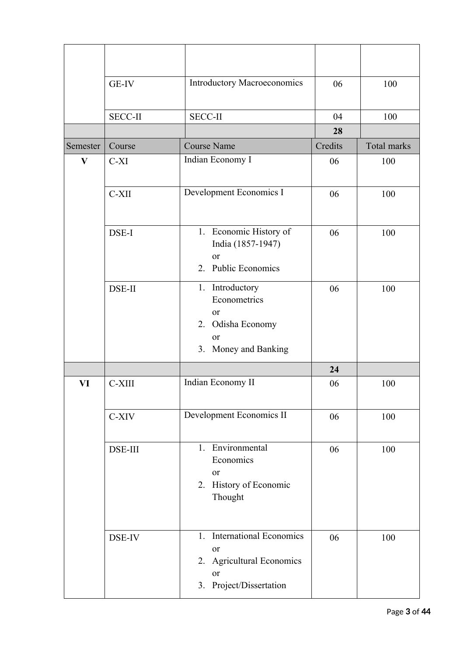|              | GE-IV          | <b>Introductory Macroeconomics</b>                                                                        | 06      | 100         |
|--------------|----------------|-----------------------------------------------------------------------------------------------------------|---------|-------------|
|              | <b>SECC-II</b> | <b>SECC-II</b>                                                                                            | 04      | 100         |
|              |                |                                                                                                           | 28      |             |
| Semester     | Course         | <b>Course Name</b>                                                                                        | Credits | Total marks |
| $\mathbf{V}$ | C-XI           | Indian Economy I                                                                                          | 06      | 100         |
|              | C-XII          | Development Economics I                                                                                   | 06      | 100         |
|              | DSE-I          | 1. Economic History of<br>India (1857-1947)<br>or<br>2. Public Economics                                  | 06      | 100         |
|              | DSE-II         | 1. Introductory<br>Econometrics<br>or<br>2. Odisha Economy<br><sub>or</sub><br>3. Money and Banking       | 06      | 100         |
|              |                |                                                                                                           | 24      |             |
| VI           | C-XIII         | Indian Economy II                                                                                         | 06      | 100         |
|              | C-XIV          | Development Economics II                                                                                  | 06      | 100         |
|              | <b>DSE-III</b> | 1. Environmental<br>Economics<br>or<br>2. History of Economic<br>Thought                                  | 06      | 100         |
|              | DSE-IV         | 1. International Economics<br><sub>or</sub><br>2. Agricultural Economics<br>or<br>3. Project/Dissertation | 06      | 100         |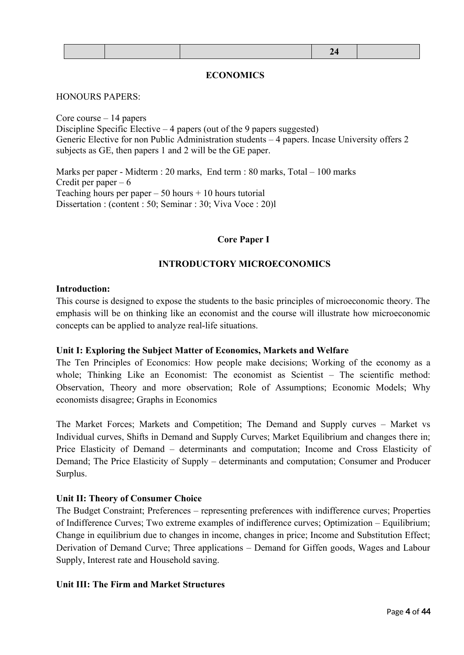#### **ECONOMICS**

#### HONOURS PAPERS:

Core course – 14 papers Discipline Specific Elective – 4 papers (out of the 9 papers suggested) Generic Elective for non Public Administration students – 4 papers. Incase University offers 2 subjects as GE, then papers 1 and 2 will be the GE paper.

Marks per paper - Midterm : 20 marks, End term : 80 marks, Total – 100 marks Credit per paper  $-6$ Teaching hours per paper  $-50$  hours  $+10$  hours tutorial Dissertation : (content : 50; Seminar : 30; Viva Voce : 20)l

#### **Core Paper I**

#### **INTRODUCTORY MICROECONOMICS**

#### **Introduction:**

This course is designed to expose the students to the basic principles of microeconomic theory. The emphasis will be on thinking like an economist and the course will illustrate how microeconomic concepts can be applied to analyze real-life situations.

#### **Unit I: Exploring the Subject Matter of Economics, Markets and Welfare**

The Ten Principles of Economics: How people make decisions; Working of the economy as a whole; Thinking Like an Economist: The economist as Scientist – The scientific method: Observation, Theory and more observation; Role of Assumptions; Economic Models; Why economists disagree; Graphs in Economics

The Market Forces; Markets and Competition; The Demand and Supply curves – Market vs Individual curves, Shifts in Demand and Supply Curves; Market Equilibrium and changes there in; Price Elasticity of Demand – determinants and computation; Income and Cross Elasticity of Demand; The Price Elasticity of Supply – determinants and computation; Consumer and Producer Surplus.

#### **Unit II: Theory of Consumer Choice**

The Budget Constraint; Preferences – representing preferences with indifference curves; Properties of Indifference Curves; Two extreme examples of indifference curves; Optimization – Equilibrium; Change in equilibrium due to changes in income, changes in price; Income and Substitution Effect; Derivation of Demand Curve; Three applications – Demand for Giffen goods, Wages and Labour Supply, Interest rate and Household saving.

#### **Unit III: The Firm and Market Structures**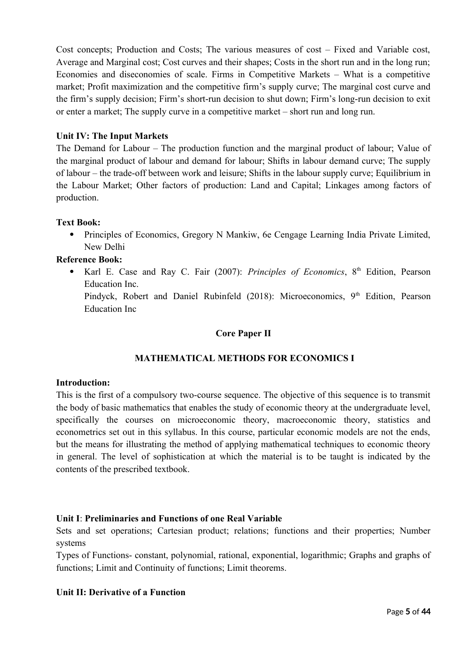Cost concepts; Production and Costs; The various measures of cost – Fixed and Variable cost, Average and Marginal cost; Cost curves and their shapes; Costs in the short run and in the long run; Economies and diseconomies of scale. Firms in Competitive Markets – What is a competitive market; Profit maximization and the competitive firm's supply curve; The marginal cost curve and the firm's supply decision; Firm's short-run decision to shut down; Firm's long-run decision to exit or enter a market; The supply curve in a competitive market – short run and long run.

## **Unit IV: The Input Markets**

The Demand for Labour – The production function and the marginal product of labour; Value of the marginal product of labour and demand for labour; Shifts in labour demand curve; The supply of labour – the trade-off between work and leisure; Shifts in the labour supply curve; Equilibrium in the Labour Market; Other factors of production: Land and Capital; Linkages among factors of production.

## **Text Book:**

 Principles of Economics, Gregory N Mankiw, 6e Cengage Learning India Private Limited, New Delhi

## **Reference Book:**

• Karl E. Case and Ray C. Fair (2007): *Principles of Economics*, 8<sup>th</sup> Edition, Pearson Education Inc. Pindyck, Robert and Daniel Rubinfeld (2018): Microeconomics, 9<sup>th</sup> Edition, Pearson Education Inc

## **Core Paper II**

## **MATHEMATICAL METHODS FOR ECONOMICS I**

## **Introduction:**

This is the first of a compulsory two-course sequence. The objective of this sequence is to transmit the body of basic mathematics that enables the study of economic theory at the undergraduate level, specifically the courses on microeconomic theory, macroeconomic theory, statistics and econometrics set out in this syllabus. In this course, particular economic models are not the ends, but the means for illustrating the method of applying mathematical techniques to economic theory in general. The level of sophistication at which the material is to be taught is indicated by the contents of the prescribed textbook.

## **Unit I**: **Preliminaries and Functions of one Real Variable**

Sets and set operations; Cartesian product; relations; functions and their properties; Number systems

Types of Functions- constant, polynomial, rational, exponential, logarithmic; Graphs and graphs of functions; Limit and Continuity of functions; Limit theorems.

## **Unit II: Derivative of a Function**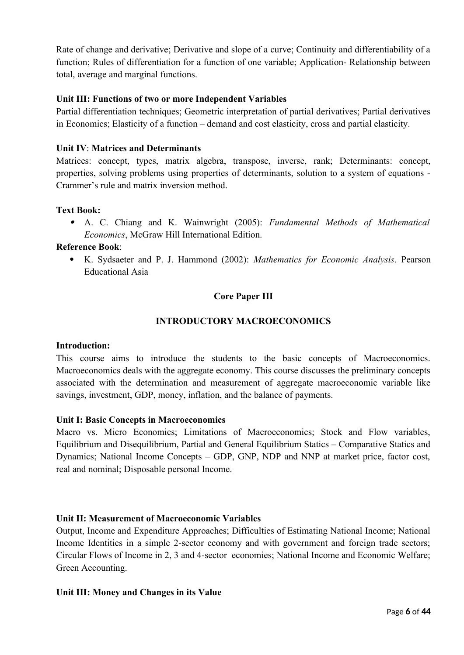Rate of change and derivative; Derivative and slope of a curve; Continuity and differentiability of a function; Rules of differentiation for a function of one variable; Application- Relationship between total, average and marginal functions.

## **Unit III: Functions of two or more Independent Variables**

Partial differentiation techniques; Geometric interpretation of partial derivatives; Partial derivatives in Economics; Elasticity of a function – demand and cost elasticity, cross and partial elasticity.

#### **Unit IV**: **Matrices and Determinants**

Matrices: concept, types, matrix algebra, transpose, inverse, rank; Determinants: concept, properties, solving problems using properties of determinants, solution to a system of equations - Crammer's rule and matrix inversion method.

## **Text Book:**

 A. C. Chiang and K. Wainwright (2005): *Fundamental Methods of Mathematical Economics*, McGraw Hill International Edition.

#### **Reference Book**:

 K. Sydsaeter and P. J. Hammond (2002): *Mathematics for Economic Analysis*. Pearson Educational Asia

## **Core Paper III**

## **INTRODUCTORY MACROECONOMICS**

#### **Introduction:**

This course aims to introduce the students to the basic concepts of Macroeconomics. Macroeconomics deals with the aggregate economy. This course discusses the preliminary concepts associated with the determination and measurement of aggregate macroeconomic variable like savings, investment, GDP, money, inflation, and the balance of payments.

#### **Unit I: Basic Concepts in Macroeconomics**

Macro vs. Micro Economics; Limitations of Macroeconomics; Stock and Flow variables, Equilibrium and Disequilibrium, Partial and General Equilibrium Statics – Comparative Statics and Dynamics: National Income Concepts – GDP, GNP, NDP and NNP at market price, factor cost, real and nominal; Disposable personal Income.

#### **Unit II: Measurement of Macroeconomic Variables**

Output, Income and Expenditure Approaches; Difficulties of Estimating National Income; National Income Identities in a simple 2-sector economy and with government and foreign trade sectors; Circular Flows of Income in 2, 3 and 4-sector economies; National Income and Economic Welfare; Green Accounting.

#### **Unit III: Money and Changes in its Value**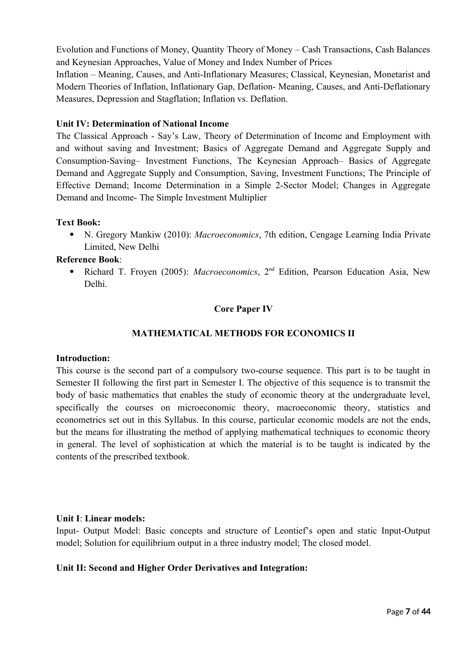Evolution and Functions of Money, Quantity Theory of Money – Cash Transactions, Cash Balances and Keynesian Approaches, Value of Money and Index Number of Prices

Inflation – Meaning, Causes, and Anti-Inflationary Measures; Classical, Keynesian, Monetarist and Modern Theories of Inflation, Inflationary Gap, Deflation- Meaning, Causes, and Anti-Deflationary Measures, Depression and Stagflation; Inflation vs. Deflation.

## **Unit IV: Determination of National Income**

The Classical Approach - Say's Law, Theory of Determination of Income and Employment with and without saving and Investment; Basics of Aggregate Demand and Aggregate Supply and Consumption-Saving– Investment Functions, The Keynesian Approach– Basics of Aggregate Demand and Aggregate Supply and Consumption, Saving, Investment Functions; The Principle of Effective Demand; Income Determination in a Simple 2-Sector Model; Changes in Aggregate Demand and Income- The Simple Investment Multiplier

## **Text Book:**

 N. Gregory Mankiw (2010): *Macroeconomics*, 7th edition, Cengage Learning India Private Limited, New Delhi

## **Reference Book**:

 Richard T. Froyen (2005): *Macroeconomics*, 2nd Edition, Pearson Education Asia, New Delhi.

## **Core Paper IV**

## **MATHEMATICAL METHODS FOR ECONOMICS II**

#### **Introduction:**

This course is the second part of a compulsory two-course sequence. This part is to be taught in Semester II following the first part in Semester I. The objective of this sequence is to transmit the body of basic mathematics that enables the study of economic theory at the undergraduate level, specifically the courses on microeconomic theory, macroeconomic theory, statistics and econometrics set out in this Syllabus. In this course, particular economic models are not the ends, but the means for illustrating the method of applying mathematical techniques to economic theory in general. The level of sophistication at which the material is to be taught is indicated by the contents of the prescribed textbook.

#### **Unit I**: **Linear models:**

Input- Output Model: Basic concepts and structure of Leontief's open and static Input-Output model; Solution for equilibrium output in a three industry model; The closed model.

#### **Unit II: Second and Higher Order Derivatives and Integration:**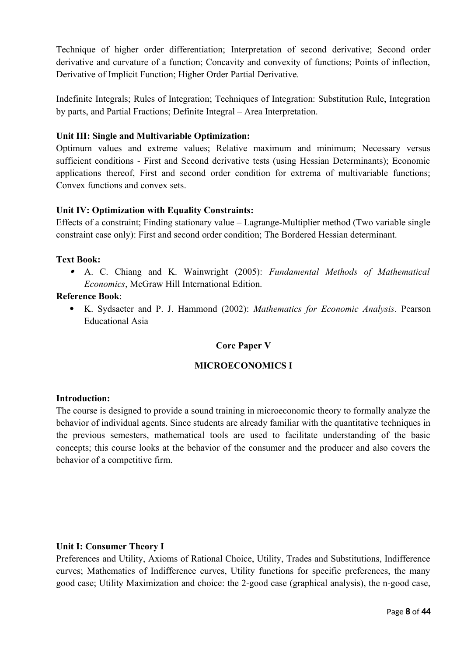Technique of higher order differentiation; Interpretation of second derivative; Second order derivative and curvature of a function; Concavity and convexity of functions; Points of inflection, Derivative of Implicit Function; Higher Order Partial Derivative.

Indefinite Integrals; Rules of Integration; Techniques of Integration: Substitution Rule, Integration by parts, and Partial Fractions; Definite Integral – Area Interpretation.

## **Unit III: Single and Multivariable Optimization:**

Optimum values and extreme values; Relative maximum and minimum; Necessary versus sufficient conditions - First and Second derivative tests (using Hessian Determinants); Economic applications thereof, First and second order condition for extrema of multivariable functions; Convex functions and convex sets.

## **Unit IV: Optimization with Equality Constraints:**

Effects of a constraint; Finding stationary value – Lagrange-Multiplier method (Two variable single constraint case only): First and second order condition; The Bordered Hessian determinant.

## **Text Book:**

 A. C. Chiang and K. Wainwright (2005): *Fundamental Methods of Mathematical Economics*, McGraw Hill International Edition.

## **Reference Book**:

 K. Sydsaeter and P. J. Hammond (2002): *Mathematics for Economic Analysis*. Pearson Educational Asia

## **Core Paper V**

## **MICROECONOMICS I**

#### **Introduction:**

The course is designed to provide a sound training in microeconomic theory to formally analyze the behavior of individual agents. Since students are already familiar with the quantitative techniques in the previous semesters, mathematical tools are used to facilitate understanding of the basic concepts; this course looks at the behavior of the consumer and the producer and also covers the behavior of a competitive firm.

#### **Unit I: Consumer Theory I**

Preferences and Utility, Axioms of Rational Choice, Utility, Trades and Substitutions, Indifference curves; Mathematics of Indifference curves, Utility functions for specific preferences, the many good case; Utility Maximization and choice: the 2-good case (graphical analysis), the n-good case,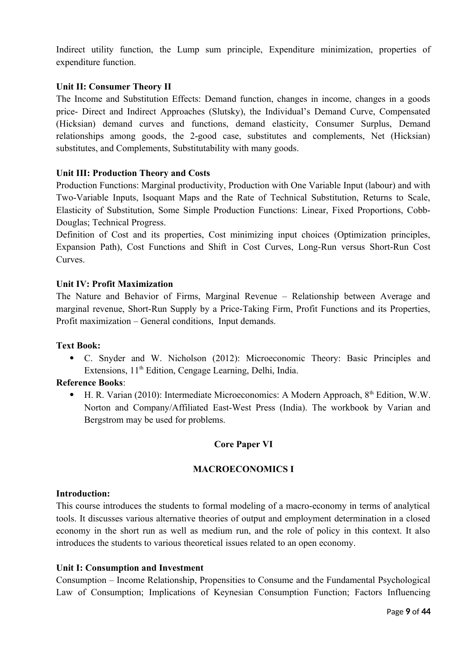Indirect utility function, the Lump sum principle, Expenditure minimization, properties of expenditure function.

## **Unit II: Consumer Theory II**

The Income and Substitution Effects: Demand function, changes in income, changes in a goods price- Direct and Indirect Approaches (Slutsky), the Individual's Demand Curve, Compensated (Hicksian) demand curves and functions, demand elasticity, Consumer Surplus, Demand relationships among goods, the 2-good case, substitutes and complements, Net (Hicksian) substitutes, and Complements, Substitutability with many goods.

## **Unit III: Production Theory and Costs**

Production Functions: Marginal productivity, Production with One Variable Input (labour) and with Two-Variable Inputs, Isoquant Maps and the Rate of Technical Substitution, Returns to Scale, Elasticity of Substitution, Some Simple Production Functions: Linear, Fixed Proportions, Cobb-Douglas; Technical Progress.

Definition of Cost and its properties, Cost minimizing input choices (Optimization principles, Expansion Path), Cost Functions and Shift in Cost Curves, Long-Run versus Short-Run Cost Curves.

## **Unit IV: Profit Maximization**

The Nature and Behavior of Firms, Marginal Revenue – Relationship between Average and marginal revenue, Short-Run Supply by a Price-Taking Firm, Profit Functions and its Properties, Profit maximization – General conditions, Input demands.

#### **Text Book:**

 C. Snyder and W. Nicholson (2012): Microeconomic Theory: Basic Principles and Extensions, 11<sup>th</sup> Edition, Cengage Learning, Delhi, India.

#### **Reference Books**:

 $\bullet$  H. R. Varian (2010): Intermediate Microeconomics: A Modern Approach,  $8<sup>th</sup>$  Edition, W.W. Norton and Company/Affiliated East-West Press (India). The workbook by Varian and Bergstrom may be used for problems.

#### **Core Paper VI**

#### **MACROECONOMICS I**

#### **Introduction:**

This course introduces the students to formal modeling of a macro-economy in terms of analytical tools. It discusses various alternative theories of output and employment determination in a closed economy in the short run as well as medium run, and the role of policy in this context. It also introduces the students to various theoretical issues related to an open economy.

#### **Unit I: Consumption and Investment**

Consumption – Income Relationship, Propensities to Consume and the Fundamental Psychological Law of Consumption; Implications of Keynesian Consumption Function; Factors Influencing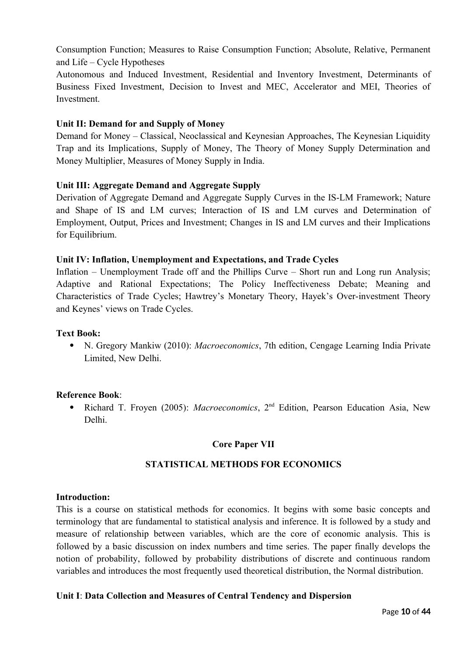Consumption Function; Measures to Raise Consumption Function; Absolute, Relative, Permanent and Life – Cycle Hypotheses

Autonomous and Induced Investment, Residential and Inventory Investment, Determinants of Business Fixed Investment, Decision to Invest and MEC, Accelerator and MEI, Theories of Investment.

## **Unit II: Demand for and Supply of Money**

Demand for Money – Classical, Neoclassical and Keynesian Approaches, The Keynesian Liquidity Trap and its Implications, Supply of Money, The Theory of Money Supply Determination and Money Multiplier, Measures of Money Supply in India.

## **Unit III: Aggregate Demand and Aggregate Supply**

Derivation of Aggregate Demand and Aggregate Supply Curves in the IS-LM Framework; Nature and Shape of IS and LM curves; Interaction of IS and LM curves and Determination of Employment, Output, Prices and Investment; Changes in IS and LM curves and their Implications for Equilibrium.

#### **Unit IV: Inflation, Unemployment and Expectations, and Trade Cycles**

Inflation – Unemployment Trade off and the Phillips Curve – Short run and Long run Analysis; Adaptive and Rational Expectations; The Policy Ineffectiveness Debate; Meaning and Characteristics of Trade Cycles; Hawtrey's Monetary Theory, Hayek's Over-investment Theory and Keynes' views on Trade Cycles.

#### **Text Book:**

 N. Gregory Mankiw (2010): *Macroeconomics*, 7th edition, Cengage Learning India Private Limited, New Delhi.

#### **Reference Book**:

• Richard T. Froyen (2005): *Macroeconomics*, 2<sup>nd</sup> Edition, Pearson Education Asia, New Delhi.

#### **Core Paper VII**

#### **STATISTICAL METHODS FOR ECONOMICS**

#### **Introduction:**

This is a course on statistical methods for economics. It begins with some basic concepts and terminology that are fundamental to statistical analysis and inference. It is followed by a study and measure of relationship between variables, which are the core of economic analysis. This is followed by a basic discussion on index numbers and time series. The paper finally develops the notion of probability, followed by probability distributions of discrete and continuous random variables and introduces the most frequently used theoretical distribution, the Normal distribution.

#### **Unit I**: **Data Collection and Measures of Central Tendency and Dispersion**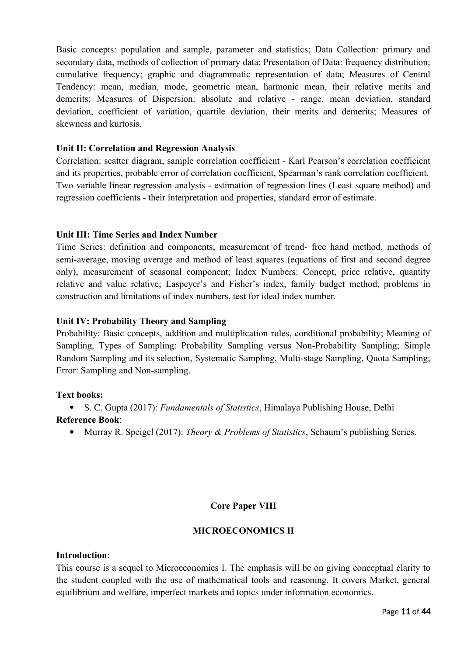Basic concepts: population and sample, parameter and statistics; Data Collection: primary and secondary data, methods of collection of primary data; Presentation of Data: frequency distribution; cumulative frequency; graphic and diagrammatic representation of data; Measures of Central Tendency: mean, median, mode, geometric mean, harmonic mean, their relative merits and demerits; Measures of Dispersion: absolute and relative - range, mean deviation, standard deviation, coefficient of variation, quartile deviation, their merits and demerits; Measures of skewness and kurtosis.

## **Unit II: Correlation and Regression Analysis**

Correlation: scatter diagram, sample correlation coefficient - Karl Pearson's correlation coefficient and its properties, probable error of correlation coefficient, Spearman's rank correlation coefficient. Two variable linear regression analysis - estimation of regression lines (Least square method) and regression coefficients - their interpretation and properties, standard error of estimate.

## **Unit III: Time Series and Index Number**

Time Series: definition and components, measurement of trend- free hand method, methods of semi-average, moving average and method of least squares (equations of first and second degree only), measurement of seasonal component; Index Numbers: Concept, price relative, quantity relative and value relative; Laspeyer's and Fisher's index, family budget method, problems in construction and limitations of index numbers, test for ideal index number.

#### **Unit IV: Probability Theory and Sampling**

Probability: Basic concepts, addition and multiplication rules, conditional probability; Meaning of Sampling, Types of Sampling: Probability Sampling versus Non-Probability Sampling; Simple Random Sampling and its selection, Systematic Sampling, Multi-stage Sampling, Quota Sampling; Error: Sampling and Non-sampling.

#### **Text books:**

S. C. Gupta (2017): *Fundamentals of Statistics*, Himalaya Publishing House, Delhi

## **Reference Book**:

Murray R. Speigel (2017): *Theory & Problems of Statistics*, Schaum's publishing Series.

## **Core Paper VIII**

#### **MICROECONOMICS II**

#### **Introduction:**

This course is a sequel to Microeconomics I. The emphasis will be on giving conceptual clarity to the student coupled with the use of mathematical tools and reasoning. It covers Market, general equilibrium and welfare, imperfect markets and topics under information economics.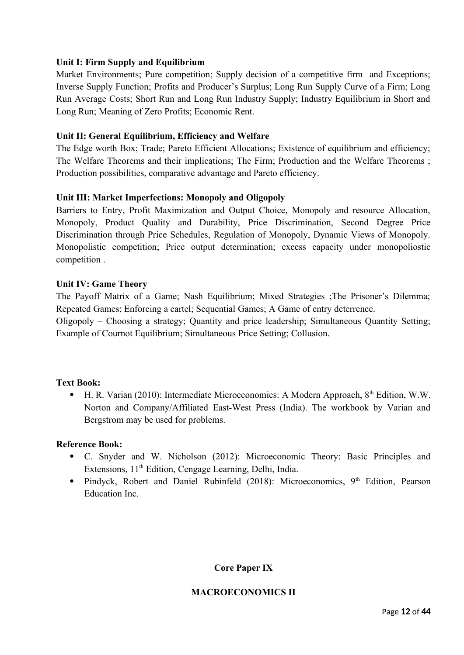## **Unit I: Firm Supply and Equilibrium**

Market Environments; Pure competition; Supply decision of a competitive firm and Exceptions; Inverse Supply Function; Profits and Producer's Surplus; Long Run Supply Curve of a Firm; Long Run Average Costs; Short Run and Long Run Industry Supply; Industry Equilibrium in Short and Long Run; Meaning of Zero Profits; Economic Rent.

#### **Unit II: General Equilibrium, Efficiency and Welfare**

The Edge worth Box; Trade; Pareto Efficient Allocations; Existence of equilibrium and efficiency; The Welfare Theorems and their implications; The Firm; Production and the Welfare Theorems ; Production possibilities, comparative advantage and Pareto efficiency.

## **Unit III: Market Imperfections: Monopoly and Oligopoly**

Barriers to Entry, Profit Maximization and Output Choice, Monopoly and resource Allocation, Monopoly, Product Quality and Durability, Price Discrimination, Second Degree Price Discrimination through Price Schedules, Regulation of Monopoly, Dynamic Views of Monopoly. Monopolistic competition; Price output determination; excess capacity under monopoliostic competition .

## **Unit IV: Game Theory**

The Payoff Matrix of a Game; Nash Equilibrium; Mixed Strategies ;The Prisoner's Dilemma; Repeated Games; Enforcing a cartel; Sequential Games; A Game of entry deterrence.

Oligopoly – Choosing a strategy; Quantity and price leadership; Simultaneous Quantity Setting; Example of Cournot Equilibrium; Simultaneous Price Setting; Collusion.

#### **Text Book:**

 $\bullet$  H. R. Varian (2010): Intermediate Microeconomics: A Modern Approach,  $8<sup>th</sup>$  Edition, W.W. Norton and Company/Affiliated East-West Press (India). The workbook by Varian and Bergstrom may be used for problems.

#### **Reference Book:**

- C. Snyder and W. Nicholson (2012): Microeconomic Theory: Basic Principles and Extensions, 11<sup>th</sup> Edition, Cengage Learning, Delhi, India.
- Pindyck, Robert and Daniel Rubinfeld (2018): Microeconomics, 9<sup>th</sup> Edition, Pearson Education Inc.

## **Core Paper IX**

#### **MACROECONOMICS II**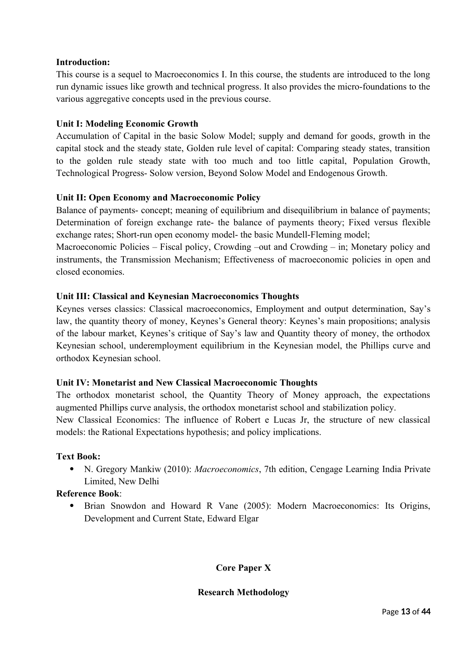## **Introduction:**

This course is a sequel to Macroeconomics I. In this course, the students are introduced to the long run dynamic issues like growth and technical progress. It also provides the micro-foundations to the various aggregative concepts used in the previous course.

## **Unit I: Modeling Economic Growth**

Accumulation of Capital in the basic Solow Model; supply and demand for goods, growth in the capital stock and the steady state, Golden rule level of capital: Comparing steady states, transition to the golden rule steady state with too much and too little capital, Population Growth, Technological Progress- Solow version, Beyond Solow Model and Endogenous Growth.

## **Unit II: Open Economy and Macroeconomic Policy**

Balance of payments- concept; meaning of equilibrium and disequilibrium in balance of payments; Determination of foreign exchange rate- the balance of payments theory; Fixed versus flexible exchange rates; Short-run open economy model- the basic Mundell-Fleming model;

Macroeconomic Policies – Fiscal policy, Crowding –out and Crowding – in; Monetary policy and instruments, the Transmission Mechanism; Effectiveness of macroeconomic policies in open and closed economies.

## **Unit III: Classical and Keynesian Macroeconomics Thoughts**

Keynes verses classics: Classical macroeconomics, Employment and output determination, Say's law, the quantity theory of money, Keynes's General theory: Keynes's main propositions; analysis of the labour market, Keynes's critique of Say's law and Quantity theory of money, the orthodox Keynesian school, underemployment equilibrium in the Keynesian model, the Phillips curve and orthodox Keynesian school.

## **Unit IV: Monetarist and New Classical Macroeconomic Thoughts**

The orthodox monetarist school, the Quantity Theory of Money approach, the expectations augmented Phillips curve analysis, the orthodox monetarist school and stabilization policy.

New Classical Economics: The influence of Robert e Lucas Jr, the structure of new classical models: the Rational Expectations hypothesis; and policy implications.

## **Text Book:**

 N. Gregory Mankiw (2010): *Macroeconomics*, 7th edition, Cengage Learning India Private Limited, New Delhi

## **Reference Book**:

 Brian Snowdon and Howard R Vane (2005): Modern Macroeconomics: Its Origins, Development and Current State, Edward Elgar

## **Core Paper X**

## **Research Methodology**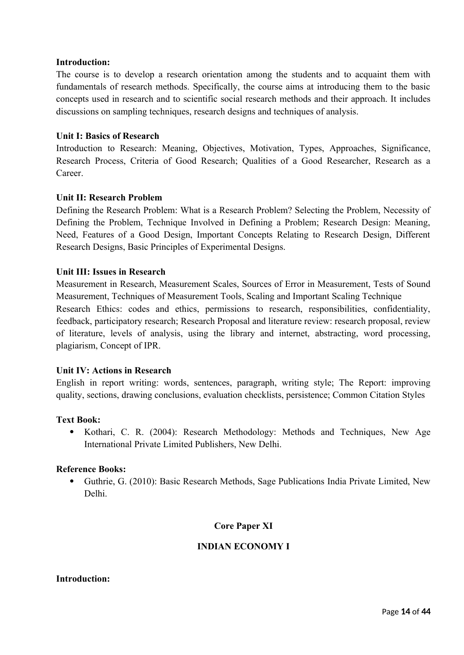## **Introduction:**

The course is to develop a research orientation among the students and to acquaint them with fundamentals of research methods. Specifically, the course aims at introducing them to the basic concepts used in research and to scientific social research methods and their approach. It includes discussions on sampling techniques, research designs and techniques of analysis.

#### **Unit I: Basics of Research**

Introduction to Research: Meaning, Objectives, Motivation, Types, Approaches, Significance, Research Process, Criteria of Good Research; Qualities of a Good Researcher, Research as a Career.

#### **Unit II: Research Problem**

Defining the Research Problem: What is a Research Problem? Selecting the Problem, Necessity of Defining the Problem, Technique Involved in Defining a Problem; Research Design: Meaning, Need, Features of a Good Design, Important Concepts Relating to Research Design, Different Research Designs, Basic Principles of Experimental Designs.

#### **Unit III: Issues in Research**

Measurement in Research, Measurement Scales, Sources of Error in Measurement, Tests of Sound Measurement, Techniques of Measurement Tools, Scaling and Important Scaling Technique Research Ethics: codes and ethics, permissions to research, responsibilities, confidentiality, feedback, participatory research; Research Proposal and literature review: research proposal, review of literature, levels of analysis, using the library and internet, abstracting, word processing, plagiarism, Concept of IPR.

#### **Unit IV: Actions in Research**

English in report writing: words, sentences, paragraph, writing style; The Report: improving quality, sections, drawing conclusions, evaluation checklists, persistence; Common Citation Styles

#### **Text Book:**

 Kothari, C. R. (2004): Research Methodology: Methods and Techniques, New Age International Private Limited Publishers, New Delhi.

#### **Reference Books:**

 Guthrie, G. (2010): Basic Research Methods, Sage Publications India Private Limited, New Delhi.

## **Core Paper XI**

## **INDIAN ECONOMY I**

#### **Introduction:**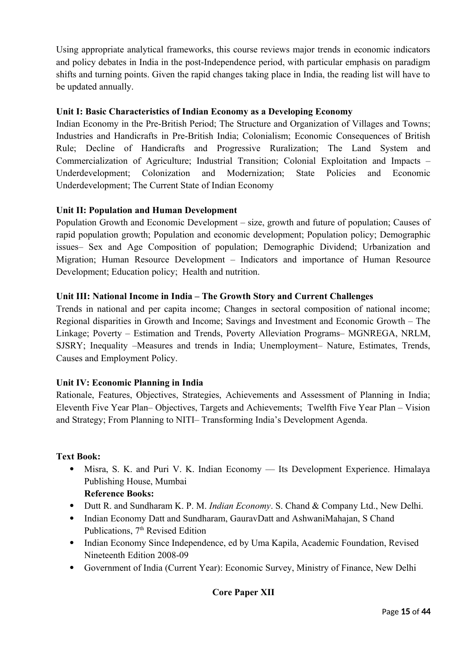Using appropriate analytical frameworks, this course reviews major trends in economic indicators and policy debates in India in the post-Independence period, with particular emphasis on paradigm shifts and turning points. Given the rapid changes taking place in India, the reading list will have to be updated annually.

## **Unit I: Basic Characteristics of Indian Economy as a Developing Economy**

Indian Economy in the Pre-British Period; The Structure and Organization of Villages and Towns; Industries and Handicrafts in Pre-British India; Colonialism; Economic Consequences of British Rule; Decline of Handicrafts and Progressive Ruralization; The Land System and Commercialization of Agriculture; Industrial Transition; Colonial Exploitation and Impacts – Underdevelopment; Colonization and Modernization; State Policies and Economic Underdevelopment; The Current State of Indian Economy

## **Unit II: Population and Human Development**

Population Growth and Economic Development – size, growth and future of population; Causes of rapid population growth; Population and economic development; Population policy; Demographic issues– Sex and Age Composition of population; Demographic Dividend; Urbanization and Migration; Human Resource Development – Indicators and importance of Human Resource Development; Education policy; Health and nutrition.

## **Unit III: National Income in India – The Growth Story and Current Challenges**

Trends in national and per capita income; Changes in sectoral composition of national income; Regional disparities in Growth and Income; Savings and Investment and Economic Growth – The Linkage; Poverty – Estimation and Trends, Poverty Alleviation Programs– MGNREGA, NRLM, SJSRY; Inequality –Measures and trends in India; Unemployment– Nature, Estimates, Trends, Causes and Employment Policy.

## **Unit IV: Economic Planning in India**

Rationale, Features, Objectives, Strategies, Achievements and Assessment of Planning in India; Eleventh Five Year Plan– Objectives, Targets and Achievements; Twelfth Five Year Plan – Vision and Strategy; From Planning to NITI– Transforming India's Development Agenda.

## **Text Book:**

- Misra, S. K. and Puri V. K. Indian Economy Its Development Experience. Himalaya Publishing House, Mumbai
	- **Reference Books:**
- Dutt R. and Sundharam K. P. M. *Indian Economy*. S. Chand & Company Ltd., New Delhi.
- Indian Economy Datt and Sundharam, GauravDatt and AshwaniMahajan, S Chand Publications, 7<sup>th</sup> Revised Edition
- Indian Economy Since Independence, ed by Uma Kapila, Academic Foundation, Revised Nineteenth Edition 2008-09
- Government of India (Current Year): Economic Survey, Ministry of Finance, New Delhi

## **Core Paper XII**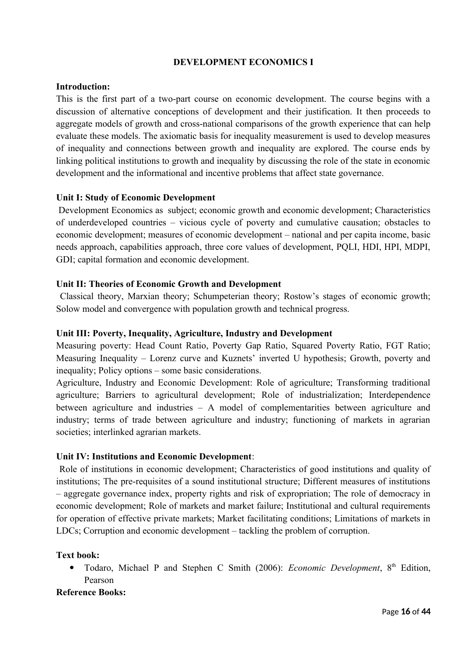## **DEVELOPMENT ECONOMICS I**

#### **Introduction:**

This is the first part of a two-part course on economic development. The course begins with a discussion of alternative conceptions of development and their justification. It then proceeds to aggregate models of growth and cross-national comparisons of the growth experience that can help evaluate these models. The axiomatic basis for inequality measurement is used to develop measures of inequality and connections between growth and inequality are explored. The course ends by linking political institutions to growth and inequality by discussing the role of the state in economic development and the informational and incentive problems that affect state governance.

#### **Unit I: Study of Economic Development**

 Development Economics as subject; economic growth and economic development; Characteristics of underdeveloped countries – vicious cycle of poverty and cumulative causation; obstacles to economic development; measures of economic development – national and per capita income, basic needs approach, capabilities approach, three core values of development, PQLI, HDI, HPI, MDPI, GDI; capital formation and economic development.

## **Unit II: Theories of Economic Growth and Development**

 Classical theory, Marxian theory; Schumpeterian theory; Rostow's stages of economic growth; Solow model and convergence with population growth and technical progress.

## **Unit III: Poverty, Inequality, Agriculture, Industry and Development**

Measuring poverty: Head Count Ratio, Poverty Gap Ratio, Squared Poverty Ratio, FGT Ratio; Measuring Inequality – Lorenz curve and Kuznets' inverted U hypothesis; Growth, poverty and inequality; Policy options – some basic considerations.

Agriculture, Industry and Economic Development: Role of agriculture; Transforming traditional agriculture; Barriers to agricultural development; Role of industrialization; Interdependence between agriculture and industries – A model of complementarities between agriculture and industry; terms of trade between agriculture and industry; functioning of markets in agrarian societies; interlinked agrarian markets.

## **Unit IV: Institutions and Economic Development**:

 Role of institutions in economic development; Characteristics of good institutions and quality of institutions; The pre-requisites of a sound institutional structure; Different measures of institutions – aggregate governance index, property rights and risk of expropriation; The role of democracy in economic development; Role of markets and market failure; Institutional and cultural requirements for operation of effective private markets; Market facilitating conditions; Limitations of markets in LDCs; Corruption and economic development – tackling the problem of corruption.

## **Text book:**

 Todaro, Michael P and Stephen C Smith (2006): *Economic Development*, 8th Edition, Pearson

#### **Reference Books:**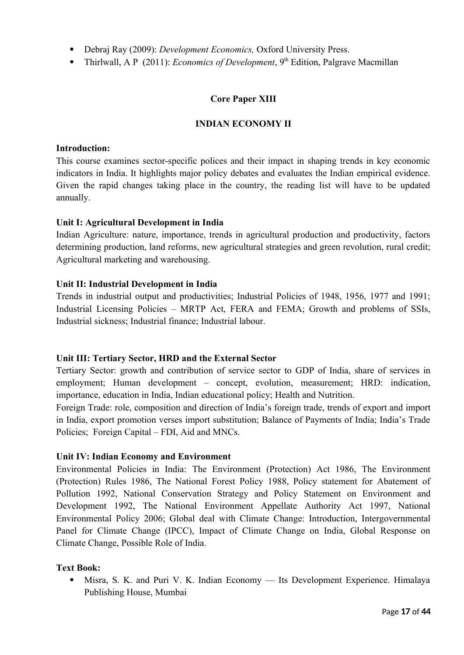- Debraj Ray (2009): *Development Economics,* Oxford University Press.
- Thirlwall, A P (2011): *Economics of Development*, 9<sup>th</sup> Edition, Palgrave Macmillan

## **Core Paper XIII**

## **INDIAN ECONOMY II**

#### **Introduction:**

This course examines sector-specific polices and their impact in shaping trends in key economic indicators in India. It highlights major policy debates and evaluates the Indian empirical evidence. Given the rapid changes taking place in the country, the reading list will have to be updated annually.

## **Unit I: Agricultural Development in India**

Indian Agriculture: nature, importance, trends in agricultural production and productivity, factors determining production, land reforms, new agricultural strategies and green revolution, rural credit; Agricultural marketing and warehousing.

## **Unit II: Industrial Development in India**

Trends in industrial output and productivities; Industrial Policies of 1948, 1956, 1977 and 1991; Industrial Licensing Policies – MRTP Act, FERA and FEMA; Growth and problems of SSIs, Industrial sickness; Industrial finance; Industrial labour.

#### **Unit III: Tertiary Sector, HRD and the External Sector**

Tertiary Sector: growth and contribution of service sector to GDP of India, share of services in employment; Human development – concept, evolution, measurement; HRD: indication, importance, education in India, Indian educational policy; Health and Nutrition.

Foreign Trade: role, composition and direction of India's foreign trade, trends of export and import in India, export promotion verses import substitution; Balance of Payments of India; India's Trade Policies; Foreign Capital – FDI, Aid and MNCs.

#### **Unit IV: Indian Economy and Environment**

Environmental Policies in India: The Environment (Protection) Act 1986, The Environment (Protection) Rules 1986, The National Forest Policy 1988, Policy statement for Abatement of Pollution 1992, National Conservation Strategy and Policy Statement on Environment and Development 1992, The National Environment Appellate Authority Act 1997, National Environmental Policy 2006; Global deal with Climate Change: Introduction, Intergovernmental Panel for Climate Change (IPCC), Impact of Climate Change on India, Global Response on Climate Change, Possible Role of India.

## **Text Book:**

 Misra, S. K. and Puri V. K. Indian Economy — Its Development Experience. Himalaya Publishing House, Mumbai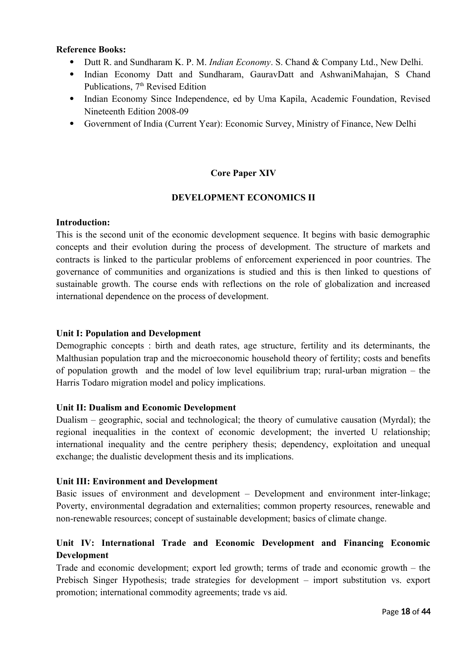## **Reference Books:**

- Dutt R. and Sundharam K. P. M. *Indian Economy*. S. Chand & Company Ltd., New Delhi.
- Indian Economy Datt and Sundharam, GauravDatt and AshwaniMahajan, S Chand Publications, 7<sup>th</sup> Revised Edition
- Indian Economy Since Independence, ed by Uma Kapila, Academic Foundation, Revised Nineteenth Edition 2008-09
- Government of India (Current Year): Economic Survey, Ministry of Finance, New Delhi

## **Core Paper XIV**

## **DEVELOPMENT ECONOMICS II**

## **Introduction:**

This is the second unit of the economic development sequence. It begins with basic demographic concepts and their evolution during the process of development. The structure of markets and contracts is linked to the particular problems of enforcement experienced in poor countries. The governance of communities and organizations is studied and this is then linked to questions of sustainable growth. The course ends with reflections on the role of globalization and increased international dependence on the process of development.

## **Unit I: Population and Development**

Demographic concepts : birth and death rates, age structure, fertility and its determinants, the Malthusian population trap and the microeconomic household theory of fertility; costs and benefits of population growth and the model of low level equilibrium trap; rural-urban migration – the Harris Todaro migration model and policy implications.

#### **Unit II: Dualism and Economic Development**

Dualism – geographic, social and technological; the theory of cumulative causation (Myrdal); the regional inequalities in the context of economic development; the inverted U relationship; international inequality and the centre periphery thesis; dependency, exploitation and unequal exchange; the dualistic development thesis and its implications.

#### **Unit III: Environment and Development**

Basic issues of environment and development – Development and environment inter-linkage; Poverty, environmental degradation and externalities; common property resources, renewable and non-renewable resources; concept of sustainable development; basics of climate change.

## **Unit IV: International Trade and Economic Development and Financing Economic Development**

Trade and economic development; export led growth; terms of trade and economic growth – the Prebisch Singer Hypothesis; trade strategies for development – import substitution vs. export promotion; international commodity agreements; trade vs aid.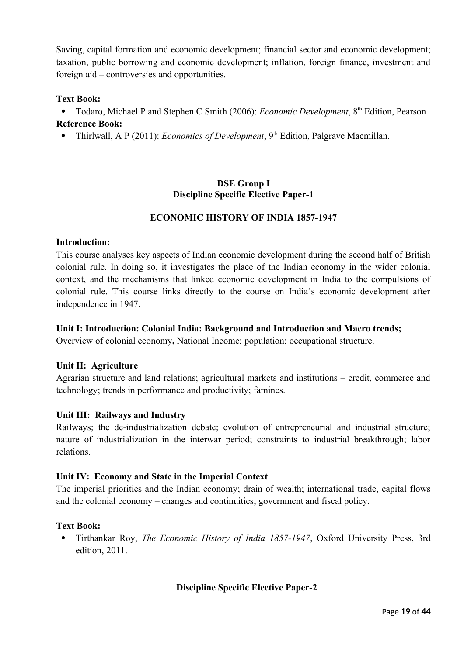Saving, capital formation and economic development; financial sector and economic development; taxation, public borrowing and economic development; inflation, foreign finance, investment and foreign aid – controversies and opportunities.

## **Text Book:**

• Todaro, Michael P and Stephen C Smith (2006): *Economic Development*, 8<sup>th</sup> Edition, Pearson **Reference Book:**

• Thirlwall, A P (2011): *Economics of Development*, 9<sup>th</sup> Edition, Palgrave Macmillan.

## **DSE Group I Discipline Specific Elective Paper-1**

## **ECONOMIC HISTORY OF INDIA 1857-1947**

#### **Introduction:**

This course analyses key aspects of Indian economic development during the second half of British colonial rule. In doing so, it investigates the place of the Indian economy in the wider colonial context, and the mechanisms that linked economic development in India to the compulsions of colonial rule. This course links directly to the course on India's economic development after independence in 1947.

#### **Unit I: Introduction: Colonial India: Background and Introduction and Macro trends;**

Overview of colonial economy**,** National Income; population; occupational structure.

#### **Unit II: Agriculture**

Agrarian structure and land relations; agricultural markets and institutions – credit, commerce and technology; trends in performance and productivity; famines.

#### **Unit III: Railways and Industry**

Railways; the de-industrialization debate; evolution of entrepreneurial and industrial structure; nature of industrialization in the interwar period; constraints to industrial breakthrough; labor relations.

#### **Unit IV: Economy and State in the Imperial Context**

The imperial priorities and the Indian economy; drain of wealth; international trade, capital flows and the colonial economy – changes and continuities; government and fiscal policy.

#### **Text Book:**

 Tirthankar Roy, *The Economic History of India 1857-1947*, Oxford University Press, 3rd edition, 2011.

## **Discipline Specific Elective Paper-2**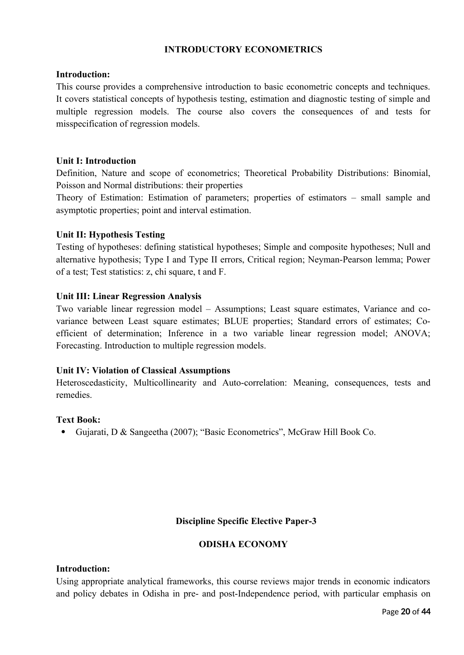## **INTRODUCTORY ECONOMETRICS**

#### **Introduction:**

This course provides a comprehensive introduction to basic econometric concepts and techniques. It covers statistical concepts of hypothesis testing, estimation and diagnostic testing of simple and multiple regression models. The course also covers the consequences of and tests for misspecification of regression models.

#### **Unit I: Introduction**

Definition, Nature and scope of econometrics; Theoretical Probability Distributions: Binomial, Poisson and Normal distributions: their properties

Theory of Estimation: Estimation of parameters; properties of estimators – small sample and asymptotic properties; point and interval estimation.

#### **Unit II: Hypothesis Testing**

Testing of hypotheses: defining statistical hypotheses; Simple and composite hypotheses; Null and alternative hypothesis; Type I and Type II errors, Critical region; Neyman-Pearson lemma; Power of a test; Test statistics: z, chi square, t and F.

#### **Unit III: Linear Regression Analysis**

Two variable linear regression model – Assumptions; Least square estimates, Variance and covariance between Least square estimates; BLUE properties; Standard errors of estimates; Coefficient of determination; Inference in a two variable linear regression model; ANOVA; Forecasting. Introduction to multiple regression models.

#### **Unit IV: Violation of Classical Assumptions**

Heteroscedasticity, Multicollinearity and Auto-correlation: Meaning, consequences, tests and remedies.

#### **Text Book:**

Gujarati, D & Sangeetha (2007); "Basic Econometrics", McGraw Hill Book Co.

## **Discipline Specific Elective Paper-3**

#### **ODISHA ECONOMY**

#### **Introduction:**

Using appropriate analytical frameworks, this course reviews major trends in economic indicators and policy debates in Odisha in pre- and post-Independence period, with particular emphasis on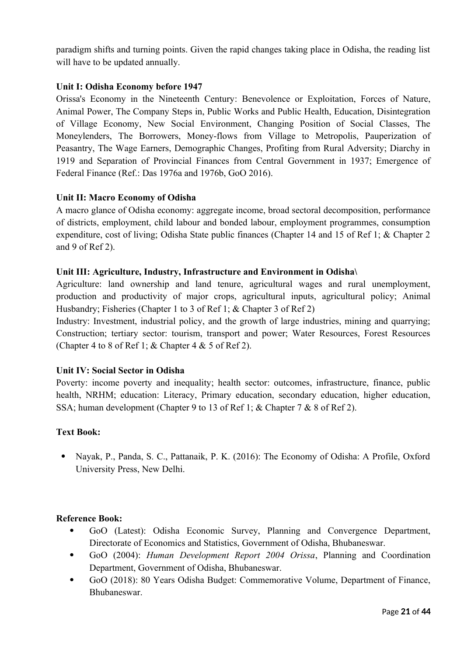paradigm shifts and turning points. Given the rapid changes taking place in Odisha, the reading list will have to be updated annually.

## **Unit I: Odisha Economy before 1947**

Orissa's Economy in the Nineteenth Century: Benevolence or Exploitation, Forces of Nature, Animal Power, The Company Steps in, Public Works and Public Health, Education, Disintegration of Village Economy, New Social Environment, Changing Position of Social Classes, The Moneylenders, The Borrowers, Money-flows from Village to Metropolis, Pauperization of Peasantry, The Wage Earners, Demographic Changes, Profiting from Rural Adversity; Diarchy in 1919 and Separation of Provincial Finances from Central Government in 1937; Emergence of Federal Finance (Ref.: Das 1976a and 1976b, GoO 2016).

## **Unit II: Macro Economy of Odisha**

A macro glance of Odisha economy: aggregate income, broad sectoral decomposition, performance of districts, employment, child labour and bonded labour, employment programmes, consumption expenditure, cost of living; Odisha State public finances (Chapter 14 and 15 of Ref 1; & Chapter 2 and 9 of Ref 2).

#### **Unit III: Agriculture, Industry, Infrastructure and Environment in Odisha\**

Agriculture: land ownership and land tenure, agricultural wages and rural unemployment, production and productivity of major crops, agricultural inputs, agricultural policy; Animal Husbandry; Fisheries (Chapter 1 to 3 of Ref 1; & Chapter 3 of Ref 2)

Industry: Investment, industrial policy, and the growth of large industries, mining and quarrying; Construction; tertiary sector: tourism, transport and power; Water Resources, Forest Resources (Chapter 4 to 8 of Ref 1;  $&$  Chapter 4  $&$  5 of Ref 2).

## **Unit IV: Social Sector in Odisha**

Poverty: income poverty and inequality; health sector: outcomes, infrastructure, finance, public health, NRHM; education: Literacy, Primary education, secondary education, higher education, SSA; human development (Chapter 9 to 13 of Ref 1; & Chapter 7 & 8 of Ref 2).

#### **Text Book:**

• Navak, P., Panda, S. C., Pattanaik, P. K. (2016): The Economy of Odisha: A Profile, Oxford University Press, New Delhi.

#### **Reference Book:**

- GoO (Latest): Odisha Economic Survey, Planning and Convergence Department, Directorate of Economics and Statistics, Government of Odisha, Bhubaneswar.
- GoO (2004): *Human Development Report 2004 Orissa*, Planning and Coordination Department, Government of Odisha, Bhubaneswar.
- GoO (2018): 80 Years Odisha Budget: Commemorative Volume, Department of Finance, Bhubaneswar.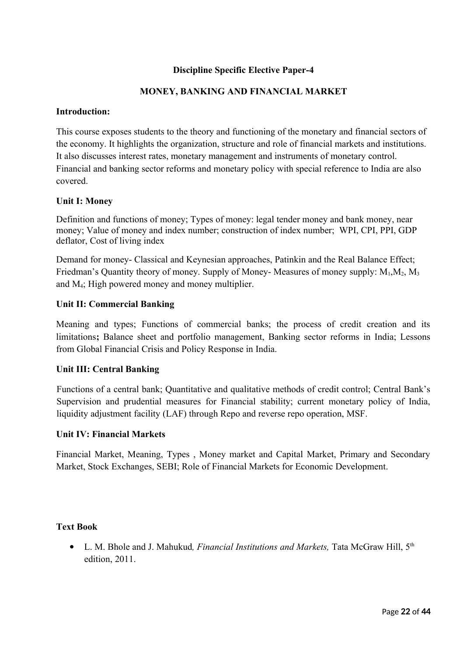## **Discipline Specific Elective Paper-4**

## **MONEY, BANKING AND FINANCIAL MARKET**

#### **Introduction:**

This course exposes students to the theory and functioning of the monetary and financial sectors of the economy. It highlights the organization, structure and role of financial markets and institutions. It also discusses interest rates, monetary management and instruments of monetary control. Financial and banking sector reforms and monetary policy with special reference to India are also covered.

#### **Unit I: Money**

Definition and functions of money; Types of money: legal tender money and bank money, near money; Value of money and index number; construction of index number; WPI, CPI, PPI, GDP deflator, Cost of living index

Demand for money- Classical and Keynesian approaches, Patinkin and the Real Balance Effect; Friedman's Quantity theory of money. Supply of Money- Measures of money supply:  $M_1, M_2, M_3$ and M4; High powered money and money multiplier.

#### **Unit II: Commercial Banking**

Meaning and types; Functions of commercial banks; the process of credit creation and its limitations**;** Balance sheet and portfolio management, Banking sector reforms in India; Lessons from Global Financial Crisis and Policy Response in India.

#### **Unit III: Central Banking**

Functions of a central bank; Quantitative and qualitative methods of credit control; Central Bank's Supervision and prudential measures for Financial stability; current monetary policy of India, liquidity adjustment facility (LAF) through Repo and reverse repo operation, MSF.

#### **Unit IV: Financial Markets**

Financial Market, Meaning, Types , Money market and Capital Market, Primary and Secondary Market, Stock Exchanges, SEBI; Role of Financial Markets for Economic Development.

#### **Text Book**

 L. M. Bhole and J. Mahukud*, Financial Institutions and Markets,* Tata McGraw Hill, 5th edition, 2011.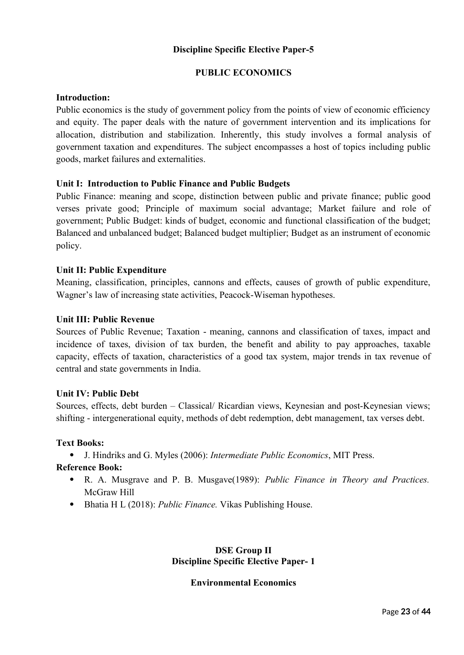## **Discipline Specific Elective Paper-5**

## **PUBLIC ECONOMICS**

## **Introduction:**

Public economics is the study of government policy from the points of view of economic efficiency and equity. The paper deals with the nature of government intervention and its implications for allocation, distribution and stabilization. Inherently, this study involves a formal analysis of government taxation and expenditures. The subject encompasses a host of topics including public goods, market failures and externalities.

## **Unit I: Introduction to Public Finance and Public Budgets**

Public Finance: meaning and scope, distinction between public and private finance; public good verses private good; Principle of maximum social advantage; Market failure and role of government; Public Budget: kinds of budget, economic and functional classification of the budget; Balanced and unbalanced budget; Balanced budget multiplier; Budget as an instrument of economic policy.

## **Unit II: Public Expenditure**

Meaning, classification, principles, cannons and effects, causes of growth of public expenditure, Wagner's law of increasing state activities, Peacock-Wiseman hypotheses.

#### **Unit III: Public Revenue**

Sources of Public Revenue; Taxation - meaning, cannons and classification of taxes, impact and incidence of taxes, division of tax burden, the benefit and ability to pay approaches, taxable capacity, effects of taxation, characteristics of a good tax system, major trends in tax revenue of central and state governments in India.

#### **Unit IV: Public Debt**

Sources, effects, debt burden – Classical/ Ricardian views, Keynesian and post-Keynesian views; shifting - intergenerational equity, methods of debt redemption, debt management, tax verses debt.

#### **Text Books:**

J. Hindriks and G. Myles (2006): *Intermediate Public Economics*, MIT Press.

## **Reference Book:**

- R. A. Musgrave and P. B. Musgave(1989): *Public Finance in Theory and Practices.* McGraw Hill
- Bhatia H L (2018): *Public Finance.* Vikas Publishing House.

## **DSE Group II Discipline Specific Elective Paper- 1**

#### **Environmental Economics**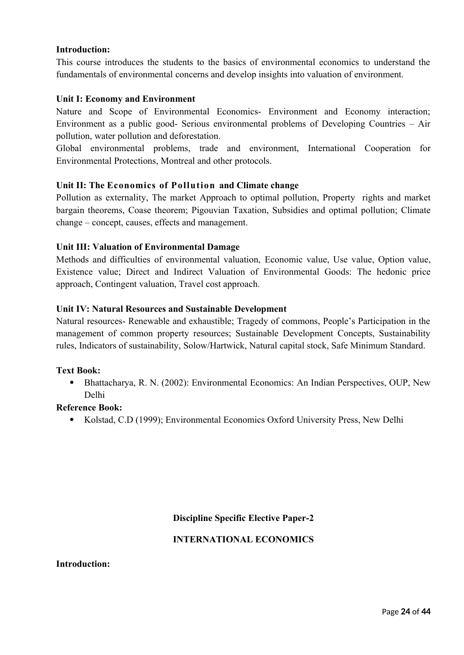## **Introduction:**

This course introduces the students to the basics of environmental economics to understand the fundamentals of environmental concerns and develop insights into valuation of environment.

#### **Unit I: Economy and Environment**

Nature and Scope of Environmental Economics- Environment and Economy interaction; Environment as a public good- Serious environmental problems of Developing Countries – Air pollution, water pollution and deforestation.

Global environmental problems, trade and environment, International Cooperation for Environmental Protections, Montreal and other protocols.

## **Unit II: The Economics of Pollution and Climate change**

Pollution as externality, The market Approach to optimal pollution, Property rights and market bargain theorems, Coase theorem; Pigouvian Taxation, Subsidies and optimal pollution; Climate change – concept, causes, effects and management.

#### **Unit III: Valuation of Environmental Damage**

Methods and difficulties of environmental valuation, Economic value, Use value, Option value, Existence value; Direct and Indirect Valuation of Environmental Goods: The hedonic price approach, Contingent valuation, Travel cost approach.

#### **Unit IV: Natural Resources and Sustainable Development**

Natural resources- Renewable and exhaustible; Tragedy of commons, People's Participation in the management of common property resources; Sustainable Development Concepts, Sustainability rules, Indicators of sustainability, Solow/Hartwick, Natural capital stock, Safe Minimum Standard.

#### **Text Book:**

 Bhattacharya, R. N. (2002): Environmental Economics: An Indian Perspectives, OUP, New Delhi

#### **Reference Book:**

Kolstad, C.D (1999); Environmental Economics Oxford University Press, New Delhi

## **Discipline Specific Elective Paper-2**

## **INTERNATIONAL ECONOMICS**

#### **Introduction:**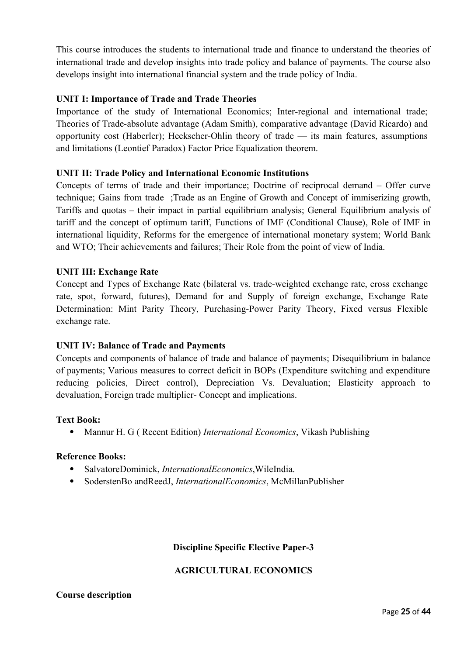This course introduces the students to international trade and finance to understand the theories of international trade and develop insights into trade policy and balance of payments. The course also develops insight into international financial system and the trade policy of India.

## **UNIT I: Importance of Trade and Trade Theories**

Importance of the study of International Economics; Inter-regional and international trade; Theories of Trade-absolute advantage (Adam Smith), comparative advantage (David Ricardo) and opportunity cost (Haberler); Heckscher-Ohlin theory of trade — its main features, assumptions and limitations (Leontief Paradox) Factor Price Equalization theorem.

## **UNIT II: Trade Policy and International Economic Institutions**

Concepts of terms of trade and their importance; Doctrine of reciprocal demand – Offer curve technique; Gains from trade ;Trade as an Engine of Growth and Concept of immiserizing growth, Tariffs and quotas – their impact in partial equilibrium analysis; General Equilibrium analysis of tariff and the concept of optimum tariff, Functions of IMF (Conditional Clause), Role of IMF in international liquidity, Reforms for the emergence of international monetary system; World Bank and WTO; Their achievements and failures; Their Role from the point of view of India.

## **UNIT III: Exchange Rate**

Concept and Types of Exchange Rate (bilateral vs. trade-weighted exchange rate, cross exchange rate, spot, forward, futures), Demand for and Supply of foreign exchange, Exchange Rate Determination: Mint Parity Theory, Purchasing-Power Parity Theory, Fixed versus Flexible exchange rate.

## **UNIT IV: Balance of Trade and Payments**

Concepts and components of balance of trade and balance of payments; Disequilibrium in balance of payments; Various measures to correct deficit in BOPs (Expenditure switching and expenditure reducing policies, Direct control), Depreciation Vs. Devaluation; Elasticity approach to devaluation, Foreign trade multiplier- Concept and implications.

#### **Text Book:**

Mannur H. G ( Recent Edition) *International Economics*, Vikash Publishing

## **Reference Books:**

- SalvatoreDominick, *InternationalEconomics*,WileIndia.
- SoderstenBo andReedJ, *InternationalEconomics*, McMillanPublisher

## **Discipline Specific Elective Paper-3**

#### **AGRICULTURAL ECONOMICS**

#### **Course description**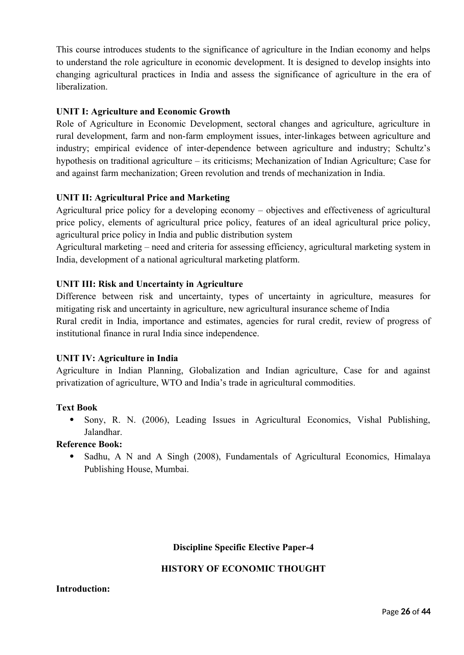This course introduces students to the significance of agriculture in the Indian economy and helps to understand the role agriculture in economic development. It is designed to develop insights into changing agricultural practices in India and assess the significance of agriculture in the era of liberalization.

## **UNIT I: Agriculture and Economic Growth**

Role of Agriculture in Economic Development, sectoral changes and agriculture, agriculture in rural development, farm and non-farm employment issues, inter-linkages between agriculture and industry; empirical evidence of inter-dependence between agriculture and industry; Schultz's hypothesis on traditional agriculture – its criticisms; Mechanization of Indian Agriculture; Case for and against farm mechanization; Green revolution and trends of mechanization in India.

## **UNIT II: Agricultural Price and Marketing**

Agricultural price policy for a developing economy – objectives and effectiveness of agricultural price policy, elements of agricultural price policy, features of an ideal agricultural price policy, agricultural price policy in India and public distribution system

Agricultural marketing – need and criteria for assessing efficiency, agricultural marketing system in India, development of a national agricultural marketing platform.

## **UNIT III: Risk and Uncertainty in Agriculture**

Difference between risk and uncertainty, types of uncertainty in agriculture, measures for mitigating risk and uncertainty in agriculture, new agricultural insurance scheme of India Rural credit in India, importance and estimates, agencies for rural credit, review of progress of institutional finance in rural India since independence.

## **UNIT IV: Agriculture in India**

Agriculture in Indian Planning, Globalization and Indian agriculture, Case for and against privatization of agriculture, WTO and India's trade in agricultural commodities.

#### **Text Book**

• Sony, R. N. (2006), Leading Issues in Agricultural Economics, Vishal Publishing, Jalandhar.

#### **Reference Book:**

• Sadhu, A N and A Singh (2008), Fundamentals of Agricultural Economics, Himalaya Publishing House, Mumbai.

## **Discipline Specific Elective Paper-4**

## **HISTORY OF ECONOMIC THOUGHT**

#### **Introduction:**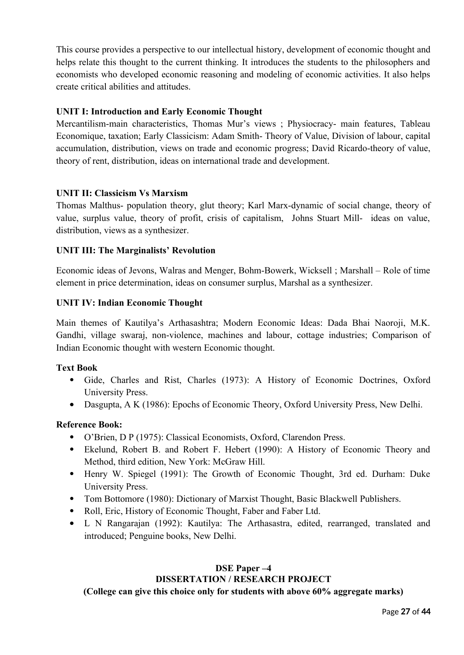This course provides a perspective to our intellectual history, development of economic thought and helps relate this thought to the current thinking. It introduces the students to the philosophers and economists who developed economic reasoning and modeling of economic activities. It also helps create critical abilities and attitudes.

## **UNIT I: Introduction and Early Economic Thought**

Mercantilism-main characteristics, Thomas Mur's views ; Physiocracy- main features, Tableau Economique, taxation; Early Classicism: Adam Smith- Theory of Value, Division of labour, capital accumulation, distribution, views on trade and economic progress; David Ricardo-theory of value, theory of rent, distribution, ideas on international trade and development.

## **UNIT II: Classicism Vs Marxism**

Thomas Malthus- population theory, glut theory; Karl Marx-dynamic of social change, theory of value, surplus value, theory of profit, crisis of capitalism, Johns Stuart Mill- ideas on value, distribution, views as a synthesizer.

## **UNIT III: The Marginalists' Revolution**

Economic ideas of Jevons, Walras and Menger, Bohm-Bowerk, Wicksell ; Marshall – Role of time element in price determination, ideas on consumer surplus, Marshal as a synthesizer.

## **UNIT IV: Indian Economic Thought**

Main themes of Kautilya's Arthasashtra; Modern Economic Ideas: Dada Bhai Naoroji, M.K. Gandhi, village swaraj, non-violence, machines and labour, cottage industries; Comparison of Indian Economic thought with western Economic thought.

## **Text Book**

- Gide, Charles and Rist, Charles (1973): A History of Economic Doctrines, Oxford University Press.
- Dasgupta, A K (1986): Epochs of Economic Theory, Oxford University Press, New Delhi.

## **Reference Book:**

- O'Brien, D P (1975): Classical Economists, Oxford, Clarendon Press.
- Ekelund, Robert B. and Robert F. Hebert (1990): A History of Economic Theory and Method, third edition, New York: McGraw Hill.
- Henry W. Spiegel (1991): The Growth of Economic Thought, 3rd ed. Durham: Duke University Press.
- Tom Bottomore (1980): Dictionary of Marxist Thought, Basic Blackwell Publishers.
- Roll, Eric, History of Economic Thought, Faber and Faber Ltd.
- L N Rangarajan (1992): Kautilya: The Arthasastra, edited, rearranged, translated and introduced; Penguine books, New Delhi.

## **DSE Paper –4 DISSERTATION / RESEARCH PROJECT**

## **(College can give this choice only for students with above 60% aggregate marks)**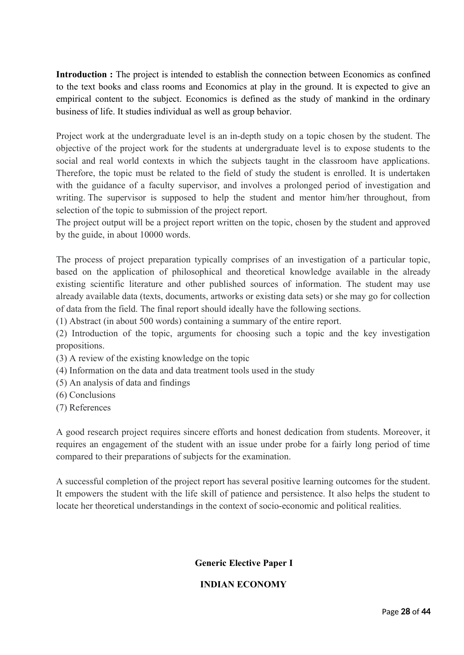**Introduction :** The project is intended to establish the connection between Economics as confined to the text books and class rooms and Economics at play in the ground. It is expected to give an empirical content to the subject. Economics is defined as the study of mankind in the ordinary business of life. It studies individual as well as group behavior.

Project work at the undergraduate level is an in-depth study on a topic chosen by the student. The objective of the project work for the students at undergraduate level is to expose students to the social and real world contexts in which the subjects taught in the classroom have applications. Therefore, the topic must be related to the field of study the student is enrolled. It is undertaken with the guidance of a faculty supervisor, and involves a prolonged period of investigation and writing. The supervisor is supposed to help the student and mentor him/her throughout, from selection of the topic to submission of the project report.

The project output will be a project report written on the topic, chosen by the student and approved by the guide, in about 10000 words.

The process of project preparation typically comprises of an investigation of a particular topic, based on the application of philosophical and theoretical knowledge available in the already existing scientific literature and other published sources of information. The student may use already available data (texts, documents, artworks or existing data sets) or she may go for collection of data from the field. The final report should ideally have the following sections.

(1) Abstract (in about 500 words) containing a summary of the entire report.

(2) Introduction of the topic, arguments for choosing such a topic and the key investigation propositions.

- (3) A review of the existing knowledge on the topic
- (4) Information on the data and data treatment tools used in the study
- (5) An analysis of data and findings
- (6) Conclusions
- (7) References

A good research project requires sincere efforts and honest dedication from students. Moreover, it requires an engagement of the student with an issue under probe for a fairly long period of time compared to their preparations of subjects for the examination.

A successful completion of the project report has several positive learning outcomes for the student. It empowers the student with the life skill of patience and persistence. It also helps the student to locate her theoretical understandings in the context of socio-economic and political realities.

## **Generic Elective Paper I**

## **INDIAN ECONOMY**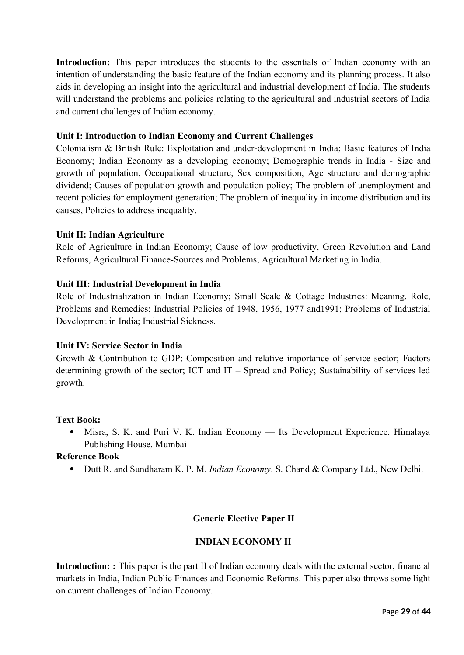Introduction: This paper introduces the students to the essentials of Indian economy with an intention of understanding the basic feature of the Indian economy and its planning process. It also aids in developing an insight into the agricultural and industrial development of India. The students will understand the problems and policies relating to the agricultural and industrial sectors of India and current challenges of Indian economy.

## **Unit I: Introduction to Indian Economy and Current Challenges**

Colonialism & British Rule: Exploitation and under-development in India; Basic features of India Economy; Indian Economy as a developing economy; Demographic trends in India - Size and growth of population, Occupational structure, Sex composition, Age structure and demographic dividend; Causes of population growth and population policy; The problem of unemployment and recent policies for employment generation; The problem of inequality in income distribution and its causes, Policies to address inequality.

## **Unit II: Indian Agriculture**

Role of Agriculture in Indian Economy; Cause of low productivity, Green Revolution and Land Reforms, Agricultural Finance-Sources and Problems; Agricultural Marketing in India.

## **Unit III: Industrial Development in India**

Role of Industrialization in Indian Economy; Small Scale & Cottage Industries: Meaning, Role, Problems and Remedies; Industrial Policies of 1948, 1956, 1977 and1991; Problems of Industrial Development in India; Industrial Sickness.

#### **Unit IV: Service Sector in India**

Growth & Contribution to GDP; Composition and relative importance of service sector; Factors determining growth of the sector; ICT and IT – Spread and Policy; Sustainability of services led growth.

#### **Text Book:**

 Misra, S. K. and Puri V. K. Indian Economy — Its Development Experience. Himalaya Publishing House, Mumbai

#### **Reference Book**

Dutt R. and Sundharam K. P. M. *Indian Economy*. S. Chand & Company Ltd., New Delhi.

## **Generic Elective Paper II**

## **INDIAN ECONOMY II**

**Introduction: :** This paper is the part II of Indian economy deals with the external sector, financial markets in India, Indian Public Finances and Economic Reforms. This paper also throws some light on current challenges of Indian Economy.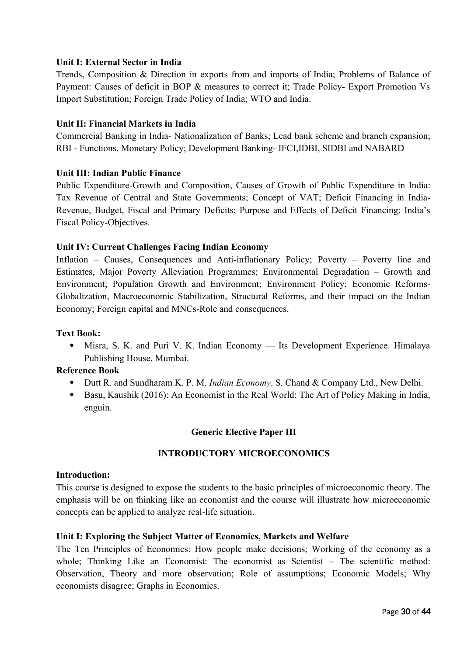## **Unit I: External Sector in India**

Trends, Composition & Direction in exports from and imports of India; Problems of Balance of Payment: Causes of deficit in BOP & measures to correct it; Trade Policy- Export Promotion Vs Import Substitution; Foreign Trade Policy of India; WTO and India.

## **Unit II: Financial Markets in India**

Commercial Banking in India- Nationalization of Banks; Lead bank scheme and branch expansion; RBI - Functions, Monetary Policy; Development Banking- IFCI,IDBI, SIDBI and NABARD

## **Unit III: Indian Public Finance**

Public Expenditure-Growth and Composition, Causes of Growth of Public Expenditure in India: Tax Revenue of Central and State Governments; Concept of VAT; Deficit Financing in India-Revenue, Budget, Fiscal and Primary Deficits; Purpose and Effects of Deficit Financing; India's Fiscal Policy-Objectives.

## **Unit IV: Current Challenges Facing Indian Economy**

Inflation – Causes, Consequences and Anti-inflationary Policy; Poverty – Poverty line and Estimates, Major Poverty Alleviation Programmes; Environmental Degradation – Growth and Environment; Population Growth and Environment; Environment Policy; Economic Reforms-Globalization, Macroeconomic Stabilization, Structural Reforms, and their impact on the Indian Economy; Foreign capital and MNCs-Role and consequences.

## **Text Book:**

 Misra, S. K. and Puri V. K. Indian Economy — Its Development Experience. Himalaya Publishing House, Mumbai.

## **Reference Book**

- Dutt R. and Sundharam K. P. M. *Indian Economy*. S. Chand & Company Ltd., New Delhi.
- Basu, Kaushik (2016): An Economist in the Real World: The Art of Policy Making in India, enguin.

#### **Generic Elective Paper III**

## **INTRODUCTORY MICROECONOMICS**

#### **Introduction:**

This course is designed to expose the students to the basic principles of microeconomic theory. The emphasis will be on thinking like an economist and the course will illustrate how microeconomic concepts can be applied to analyze real-life situation.

#### **Unit I: Exploring the Subject Matter of Economics, Markets and Welfare**

The Ten Principles of Economics: How people make decisions; Working of the economy as a whole; Thinking Like an Economist: The economist as Scientist – The scientific method: Observation, Theory and more observation; Role of assumptions; Economic Models; Why economists disagree; Graphs in Economics.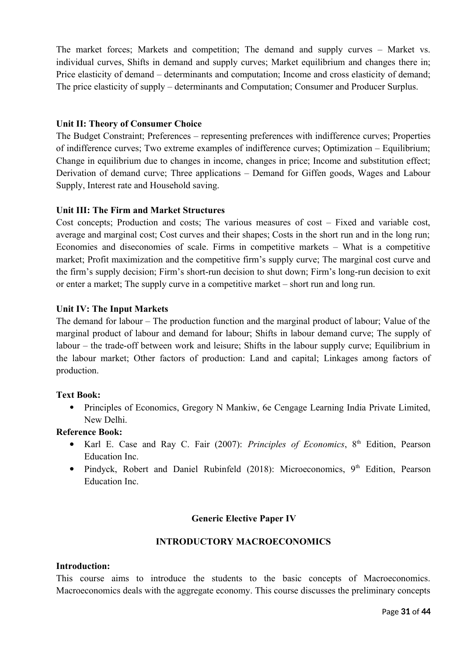The market forces; Markets and competition; The demand and supply curves – Market vs. individual curves, Shifts in demand and supply curves; Market equilibrium and changes there in; Price elasticity of demand – determinants and computation; Income and cross elasticity of demand; The price elasticity of supply – determinants and Computation; Consumer and Producer Surplus.

## **Unit II: Theory of Consumer Choice**

The Budget Constraint; Preferences – representing preferences with indifference curves; Properties of indifference curves; Two extreme examples of indifference curves; Optimization – Equilibrium; Change in equilibrium due to changes in income, changes in price; Income and substitution effect; Derivation of demand curve; Three applications – Demand for Giffen goods, Wages and Labour Supply, Interest rate and Household saving.

## **Unit III: The Firm and Market Structures**

Cost concepts; Production and costs; The various measures of cost – Fixed and variable cost, average and marginal cost; Cost curves and their shapes; Costs in the short run and in the long run; Economies and diseconomies of scale. Firms in competitive markets – What is a competitive market; Profit maximization and the competitive firm's supply curve; The marginal cost curve and the firm's supply decision; Firm's short-run decision to shut down; Firm's long-run decision to exit or enter a market; The supply curve in a competitive market – short run and long run.

## **Unit IV: The Input Markets**

The demand for labour – The production function and the marginal product of labour; Value of the marginal product of labour and demand for labour; Shifts in labour demand curve; The supply of labour – the trade-off between work and leisure; Shifts in the labour supply curve; Equilibrium in the labour market; Other factors of production: Land and capital; Linkages among factors of production.

#### **Text Book:**

• Principles of Economics, Gregory N Mankiw, 6e Cengage Learning India Private Limited, New Delhi.

#### **Reference Book:**

- Karl E. Case and Ray C. Fair (2007): *Principles of Economics*, 8<sup>th</sup> Edition, Pearson Education Inc.
- Pindyck, Robert and Daniel Rubinfeld (2018): Microeconomics,  $9<sup>th</sup>$  Edition, Pearson Education Inc.

#### **Generic Elective Paper IV**

#### **INTRODUCTORY MACROECONOMICS**

#### **Introduction:**

This course aims to introduce the students to the basic concepts of Macroeconomics. Macroeconomics deals with the aggregate economy. This course discusses the preliminary concepts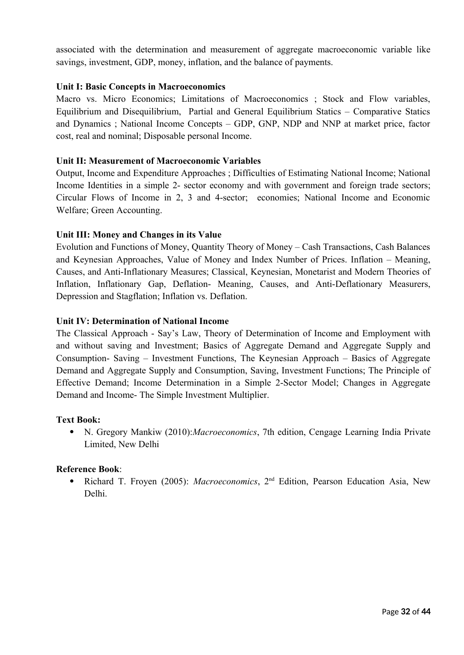associated with the determination and measurement of aggregate macroeconomic variable like savings, investment, GDP, money, inflation, and the balance of payments.

## **Unit I: Basic Concepts in Macroeconomics**

Macro vs. Micro Economics; Limitations of Macroeconomics ; Stock and Flow variables, Equilibrium and Disequilibrium, Partial and General Equilibrium Statics – Comparative Statics and Dynamics ; National Income Concepts – GDP, GNP, NDP and NNP at market price, factor cost, real and nominal; Disposable personal Income.

#### **Unit II: Measurement of Macroeconomic Variables**

Output, Income and Expenditure Approaches ; Difficulties of Estimating National Income; National Income Identities in a simple 2- sector economy and with government and foreign trade sectors; Circular Flows of Income in 2, 3 and 4-sector; economies; National Income and Economic Welfare; Green Accounting.

## **Unit III: Money and Changes in its Value**

Evolution and Functions of Money, Quantity Theory of Money – Cash Transactions, Cash Balances and Keynesian Approaches, Value of Money and Index Number of Prices. Inflation – Meaning, Causes, and Anti-Inflationary Measures; Classical, Keynesian, Monetarist and Modern Theories of Inflation, Inflationary Gap, Deflation- Meaning, Causes, and Anti-Deflationary Measurers, Depression and Stagflation; Inflation vs. Deflation.

#### **Unit IV: Determination of National Income**

The Classical Approach - Say's Law, Theory of Determination of Income and Employment with and without saving and Investment; Basics of Aggregate Demand and Aggregate Supply and Consumption- Saving – Investment Functions, The Keynesian Approach – Basics of Aggregate Demand and Aggregate Supply and Consumption, Saving, Investment Functions; The Principle of Effective Demand; Income Determination in a Simple 2-Sector Model; Changes in Aggregate Demand and Income- The Simple Investment Multiplier.

#### **Text Book:**

 N. Gregory Mankiw (2010):*Macroeconomics*, 7th edition, Cengage Learning India Private Limited, New Delhi

#### **Reference Book**:

 Richard T. Froyen (2005): *Macroeconomics*, 2nd Edition, Pearson Education Asia, New Delhi.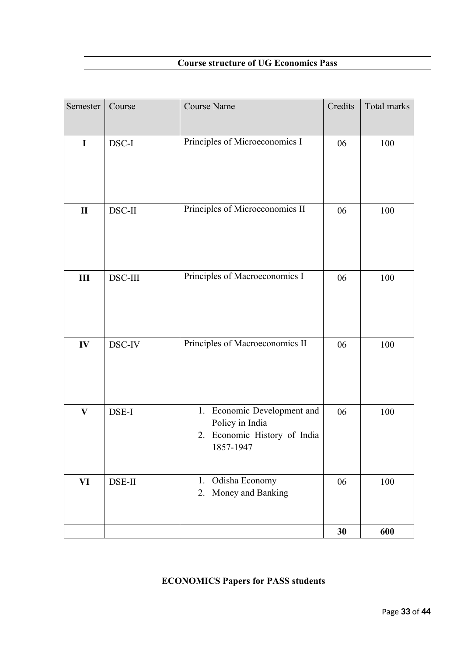| Semester     | Course  | <b>Course Name</b>                                                                             | Credits | Total marks |
|--------------|---------|------------------------------------------------------------------------------------------------|---------|-------------|
|              |         |                                                                                                |         |             |
| $\mathbf I$  | DSC-I   | Principles of Microeconomics I                                                                 | 06      | 100         |
| $\mathbf{I}$ | DSC-II  | Principles of Microeconomics II                                                                | 06      | 100         |
| $\rm III$    | DSC-III | Principles of Macroeconomics I                                                                 | 06      | 100         |
| IV           | DSC-IV  | Principles of Macroeconomics II                                                                | 06      | 100         |
| $\bf{V}$     | DSE-I   | Economic Development and<br>1.<br>Policy in India<br>2. Economic History of India<br>1857-1947 | 06      | 100         |
| VI           | DSE-II  | Odisha Economy<br>1.<br>Money and Banking<br>2.                                                | 06      | 100         |
|              |         |                                                                                                | 30      | 600         |

## **ECONOMICS Papers for PASS students**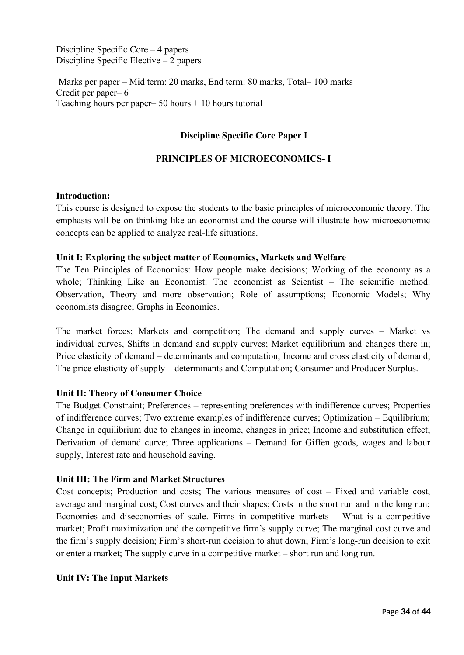Discipline Specific Core – 4 papers Discipline Specific Elective – 2 papers

 Marks per paper – Mid term: 20 marks, End term: 80 marks, Total– 100 marks Credit per paper– 6 Teaching hours per paper–  $50$  hours  $+ 10$  hours tutorial

## **Discipline Specific Core Paper I**

## **PRINCIPLES OF MICROECONOMICS- I**

#### **Introduction:**

This course is designed to expose the students to the basic principles of microeconomic theory. The emphasis will be on thinking like an economist and the course will illustrate how microeconomic concepts can be applied to analyze real-life situations.

#### **Unit I: Exploring the subject matter of Economics, Markets and Welfare**

The Ten Principles of Economics: How people make decisions; Working of the economy as a whole; Thinking Like an Economist: The economist as Scientist – The scientific method: Observation, Theory and more observation; Role of assumptions; Economic Models; Why economists disagree; Graphs in Economics.

The market forces; Markets and competition; The demand and supply curves – Market vs individual curves, Shifts in demand and supply curves; Market equilibrium and changes there in; Price elasticity of demand – determinants and computation; Income and cross elasticity of demand; The price elasticity of supply – determinants and Computation; Consumer and Producer Surplus.

#### **Unit II: Theory of Consumer Choice**

The Budget Constraint; Preferences – representing preferences with indifference curves; Properties of indifference curves; Two extreme examples of indifference curves; Optimization – Equilibrium; Change in equilibrium due to changes in income, changes in price; Income and substitution effect; Derivation of demand curve; Three applications – Demand for Giffen goods, wages and labour supply, Interest rate and household saving.

#### **Unit III: The Firm and Market Structures**

Cost concepts; Production and costs; The various measures of cost – Fixed and variable cost, average and marginal cost; Cost curves and their shapes; Costs in the short run and in the long run; Economies and diseconomies of scale. Firms in competitive markets – What is a competitive market; Profit maximization and the competitive firm's supply curve; The marginal cost curve and the firm's supply decision; Firm's short-run decision to shut down; Firm's long-run decision to exit or enter a market; The supply curve in a competitive market – short run and long run.

#### **Unit IV: The Input Markets**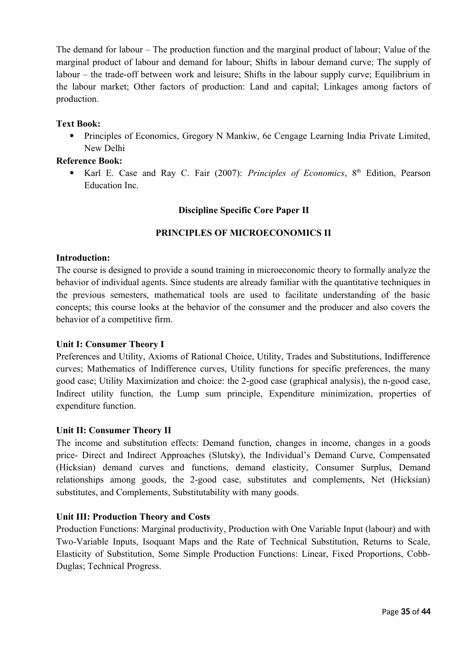The demand for labour – The production function and the marginal product of labour; Value of the marginal product of labour and demand for labour; Shifts in labour demand curve; The supply of labour – the trade-off between work and leisure; Shifts in the labour supply curve; Equilibrium in the labour market; Other factors of production: Land and capital; Linkages among factors of production.

## **Text Book:**

• Principles of Economics, Gregory N Mankiw, 6e Cengage Learning India Private Limited, New Delhi

## **Reference Book:**

• Karl E. Case and Ray C. Fair (2007): *Principles of Economics*, 8<sup>th</sup> Edition, Pearson Education Inc.

## **Discipline Specific Core Paper II**

## **PRINCIPLES OF MICROECONOMICS II**

## **Introduction:**

The course is designed to provide a sound training in microeconomic theory to formally analyze the behavior of individual agents. Since students are already familiar with the quantitative techniques in the previous semesters, mathematical tools are used to facilitate understanding of the basic concepts; this course looks at the behavior of the consumer and the producer and also covers the behavior of a competitive firm.

#### **Unit I: Consumer Theory I**

Preferences and Utility, Axioms of Rational Choice, Utility, Trades and Substitutions, Indifference curves; Mathematics of Indifference curves, Utility functions for specific preferences, the many good case; Utility Maximization and choice: the 2-good case (graphical analysis), the n-good case, Indirect utility function, the Lump sum principle, Expenditure minimization, properties of expenditure function.

#### **Unit II: Consumer Theory II**

The income and substitution effects: Demand function, changes in income, changes in a goods price- Direct and Indirect Approaches (Slutsky), the Individual's Demand Curve, Compensated (Hicksian) demand curves and functions, demand elasticity, Consumer Surplus, Demand relationships among goods, the 2-good case, substitutes and complements, Net (Hicksian) substitutes, and Complements, Substitutability with many goods.

#### **Unit III: Production Theory and Costs**

Production Functions: Marginal productivity, Production with One Variable Input (labour) and with Two-Variable Inputs, Isoquant Maps and the Rate of Technical Substitution, Returns to Scale, Elasticity of Substitution, Some Simple Production Functions: Linear, Fixed Proportions, Cobb-Duglas; Technical Progress.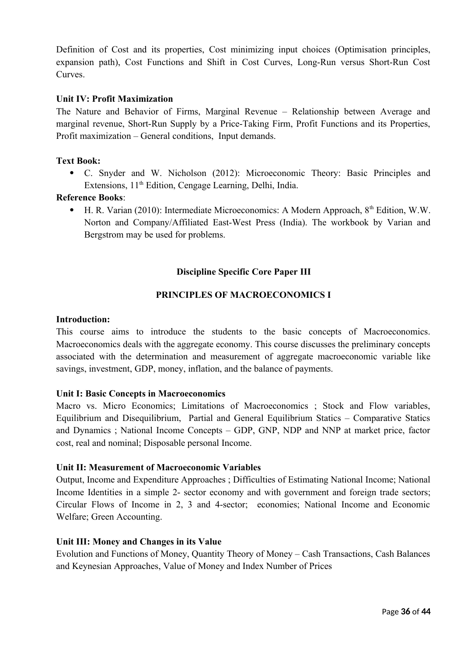Definition of Cost and its properties, Cost minimizing input choices (Optimisation principles, expansion path), Cost Functions and Shift in Cost Curves, Long-Run versus Short-Run Cost **Curves** 

## **Unit IV: Profit Maximization**

The Nature and Behavior of Firms, Marginal Revenue – Relationship between Average and marginal revenue, Short-Run Supply by a Price-Taking Firm, Profit Functions and its Properties, Profit maximization – General conditions, Input demands.

#### **Text Book:**

 C. Snyder and W. Nicholson (2012): Microeconomic Theory: Basic Principles and Extensions, 11<sup>th</sup> Edition, Cengage Learning, Delhi, India.

#### **Reference Books**:

 $\bullet$  H. R. Varian (2010): Intermediate Microeconomics: A Modern Approach,  $8<sup>th</sup>$  Edition, W.W. Norton and Company/Affiliated East-West Press (India). The workbook by Varian and Bergstrom may be used for problems.

## **Discipline Specific Core Paper III**

## **PRINCIPLES OF MACROECONOMICS I**

#### **Introduction:**

This course aims to introduce the students to the basic concepts of Macroeconomics. Macroeconomics deals with the aggregate economy. This course discusses the preliminary concepts associated with the determination and measurement of aggregate macroeconomic variable like savings, investment, GDP, money, inflation, and the balance of payments.

#### **Unit I: Basic Concepts in Macroeconomics**

Macro vs. Micro Economics; Limitations of Macroeconomics ; Stock and Flow variables, Equilibrium and Disequilibrium, Partial and General Equilibrium Statics – Comparative Statics and Dynamics ; National Income Concepts – GDP, GNP, NDP and NNP at market price, factor cost, real and nominal; Disposable personal Income.

#### **Unit II: Measurement of Macroeconomic Variables**

Output, Income and Expenditure Approaches ; Difficulties of Estimating National Income; National Income Identities in a simple 2- sector economy and with government and foreign trade sectors; Circular Flows of Income in 2, 3 and 4-sector; economies; National Income and Economic Welfare; Green Accounting.

#### **Unit III: Money and Changes in its Value**

Evolution and Functions of Money, Quantity Theory of Money – Cash Transactions, Cash Balances and Keynesian Approaches, Value of Money and Index Number of Prices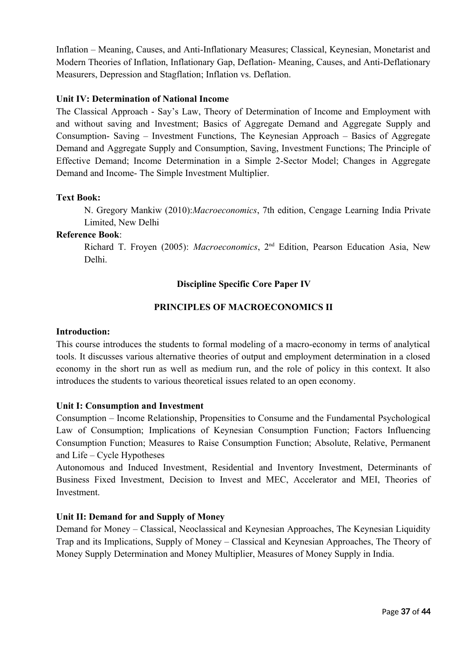Inflation – Meaning, Causes, and Anti-Inflationary Measures; Classical, Keynesian, Monetarist and Modern Theories of Inflation, Inflationary Gap, Deflation- Meaning, Causes, and Anti-Deflationary Measurers, Depression and Stagflation; Inflation vs. Deflation.

## **Unit IV: Determination of National Income**

The Classical Approach - Say's Law, Theory of Determination of Income and Employment with and without saving and Investment; Basics of Aggregate Demand and Aggregate Supply and Consumption- Saving – Investment Functions, The Keynesian Approach – Basics of Aggregate Demand and Aggregate Supply and Consumption, Saving, Investment Functions; The Principle of Effective Demand; Income Determination in a Simple 2-Sector Model; Changes in Aggregate Demand and Income- The Simple Investment Multiplier.

#### **Text Book:**

N. Gregory Mankiw (2010):*Macroeconomics*, 7th edition, Cengage Learning India Private Limited, New Delhi

#### **Reference Book**:

Richard T. Froyen (2005): *Macroeconomics*, 2nd Edition, Pearson Education Asia, New Delhi.

## **Discipline Specific Core Paper IV**

## **PRINCIPLES OF MACROECONOMICS II**

#### **Introduction:**

This course introduces the students to formal modeling of a macro-economy in terms of analytical tools. It discusses various alternative theories of output and employment determination in a closed economy in the short run as well as medium run, and the role of policy in this context. It also introduces the students to various theoretical issues related to an open economy.

#### **Unit I: Consumption and Investment**

Consumption – Income Relationship, Propensities to Consume and the Fundamental Psychological Law of Consumption; Implications of Keynesian Consumption Function; Factors Influencing Consumption Function; Measures to Raise Consumption Function; Absolute, Relative, Permanent and Life – Cycle Hypotheses

Autonomous and Induced Investment, Residential and Inventory Investment, Determinants of Business Fixed Investment, Decision to Invest and MEC, Accelerator and MEI, Theories of Investment.

#### **Unit II: Demand for and Supply of Money**

Demand for Money – Classical, Neoclassical and Keynesian Approaches, The Keynesian Liquidity Trap and its Implications, Supply of Money – Classical and Keynesian Approaches, The Theory of Money Supply Determination and Money Multiplier, Measures of Money Supply in India.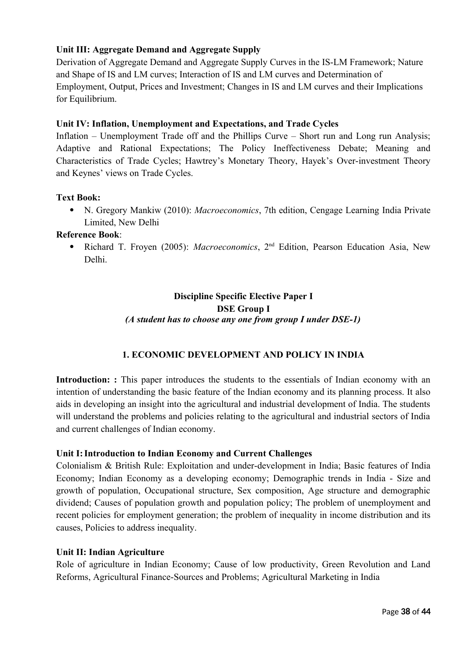## **Unit III: Aggregate Demand and Aggregate Supply**

Derivation of Aggregate Demand and Aggregate Supply Curves in the IS-LM Framework; Nature and Shape of IS and LM curves; Interaction of IS and LM curves and Determination of Employment, Output, Prices and Investment; Changes in IS and LM curves and their Implications for Equilibrium.

## **Unit IV: Inflation, Unemployment and Expectations, and Trade Cycles**

Inflation – Unemployment Trade off and the Phillips Curve – Short run and Long run Analysis; Adaptive and Rational Expectations; The Policy Ineffectiveness Debate; Meaning and Characteristics of Trade Cycles; Hawtrey's Monetary Theory, Hayek's Over-investment Theory and Keynes' views on Trade Cycles.

## **Text Book:**

 N. Gregory Mankiw (2010): *Macroeconomics*, 7th edition, Cengage Learning India Private Limited, New Delhi

## **Reference Book**:

• Richard T. Froyen (2005): *Macroeconomics*, 2<sup>nd</sup> Edition, Pearson Education Asia, New Delhi.

## **Discipline Specific Elective Paper I DSE Group I** *(A student has to choose any one from group I under DSE-1)*

## **1. ECONOMIC DEVELOPMENT AND POLICY IN INDIA**

**Introduction:** : This paper introduces the students to the essentials of Indian economy with an intention of understanding the basic feature of the Indian economy and its planning process. It also aids in developing an insight into the agricultural and industrial development of India. The students will understand the problems and policies relating to the agricultural and industrial sectors of India and current challenges of Indian economy.

#### **Unit I: Introduction to Indian Economy and Current Challenges**

Colonialism & British Rule: Exploitation and under-development in India; Basic features of India Economy; Indian Economy as a developing economy; Demographic trends in India - Size and growth of population, Occupational structure, Sex composition, Age structure and demographic dividend; Causes of population growth and population policy; The problem of unemployment and recent policies for employment generation; the problem of inequality in income distribution and its causes, Policies to address inequality.

#### **Unit II: Indian Agriculture**

Role of agriculture in Indian Economy; Cause of low productivity, Green Revolution and Land Reforms, Agricultural Finance-Sources and Problems; Agricultural Marketing in India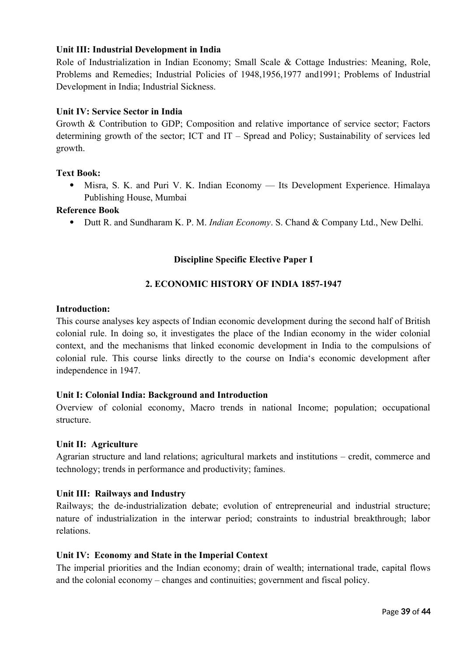## **Unit III: Industrial Development in India**

Role of Industrialization in Indian Economy; Small Scale & Cottage Industries: Meaning, Role, Problems and Remedies; Industrial Policies of 1948,1956,1977 and1991; Problems of Industrial Development in India; Industrial Sickness.

## **Unit IV: Service Sector in India**

Growth & Contribution to GDP; Composition and relative importance of service sector; Factors determining growth of the sector; ICT and IT – Spread and Policy; Sustainability of services led growth.

## **Text Book:**

 Misra, S. K. and Puri V. K. Indian Economy — Its Development Experience. Himalaya Publishing House, Mumbai

#### **Reference Book**

Dutt R. and Sundharam K. P. M. *Indian Economy*. S. Chand & Company Ltd., New Delhi.

## **Discipline Specific Elective Paper I**

## **2. ECONOMIC HISTORY OF INDIA 1857-1947**

#### **Introduction:**

This course analyses key aspects of Indian economic development during the second half of British colonial rule. In doing so, it investigates the place of the Indian economy in the wider colonial context, and the mechanisms that linked economic development in India to the compulsions of colonial rule. This course links directly to the course on India's economic development after independence in 1947.

#### **Unit I: Colonial India: Background and Introduction**

Overview of colonial economy, Macro trends in national Income; population; occupational structure.

#### **Unit II: Agriculture**

Agrarian structure and land relations; agricultural markets and institutions – credit, commerce and technology; trends in performance and productivity; famines.

#### **Unit III: Railways and Industry**

Railways; the de-industrialization debate; evolution of entrepreneurial and industrial structure; nature of industrialization in the interwar period; constraints to industrial breakthrough; labor relations.

#### **Unit IV: Economy and State in the Imperial Context**

The imperial priorities and the Indian economy; drain of wealth; international trade, capital flows and the colonial economy – changes and continuities; government and fiscal policy.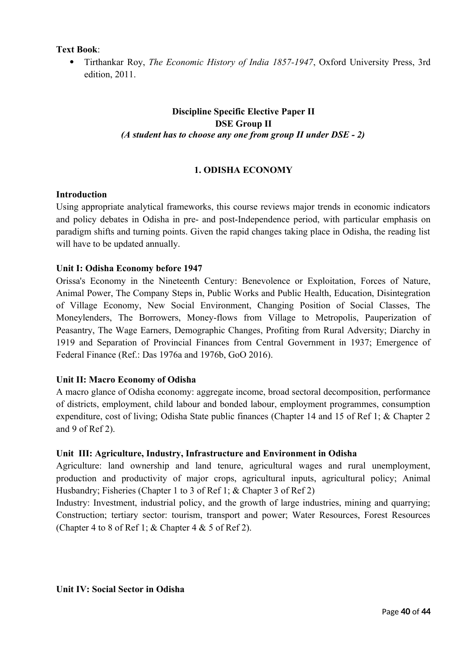**Text Book**:

 Tirthankar Roy, *The Economic History of India 1857-1947*, Oxford University Press, 3rd edition, 2011.

## **Discipline Specific Elective Paper II DSE Group II** *(A student has to choose any one from group II under DSE - 2)*

## **1. ODISHA ECONOMY**

## **Introduction**

Using appropriate analytical frameworks, this course reviews major trends in economic indicators and policy debates in Odisha in pre- and post-Independence period, with particular emphasis on paradigm shifts and turning points. Given the rapid changes taking place in Odisha, the reading list will have to be updated annually.

## **Unit I: Odisha Economy before 1947**

Orissa's Economy in the Nineteenth Century: Benevolence or Exploitation, Forces of Nature, Animal Power, The Company Steps in, Public Works and Public Health, Education, Disintegration of Village Economy, New Social Environment, Changing Position of Social Classes, The Moneylenders, The Borrowers, Money-flows from Village to Metropolis, Pauperization of Peasantry, The Wage Earners, Demographic Changes, Profiting from Rural Adversity; Diarchy in 1919 and Separation of Provincial Finances from Central Government in 1937; Emergence of Federal Finance (Ref.: Das 1976a and 1976b, GoO 2016).

## **Unit II: Macro Economy of Odisha**

A macro glance of Odisha economy: aggregate income, broad sectoral decomposition, performance of districts, employment, child labour and bonded labour, employment programmes, consumption expenditure, cost of living; Odisha State public finances (Chapter 14 and 15 of Ref 1; & Chapter 2 and 9 of Ref 2).

## **Unit III: Agriculture, Industry, Infrastructure and Environment in Odisha**

Agriculture: land ownership and land tenure, agricultural wages and rural unemployment, production and productivity of major crops, agricultural inputs, agricultural policy; Animal Husbandry; Fisheries (Chapter 1 to 3 of Ref 1; & Chapter 3 of Ref 2)

Industry: Investment, industrial policy, and the growth of large industries, mining and quarrying; Construction; tertiary sector: tourism, transport and power; Water Resources, Forest Resources (Chapter 4 to 8 of Ref 1;  $&$  Chapter 4  $&$  5 of Ref 2).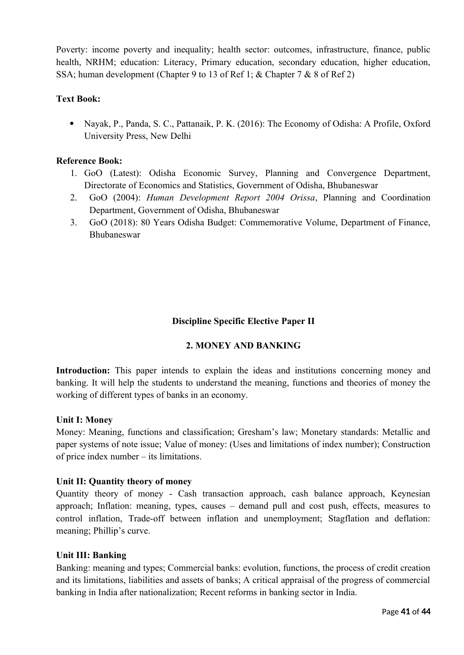Poverty: income poverty and inequality; health sector: outcomes, infrastructure, finance, public health, NRHM; education: Literacy, Primary education, secondary education, higher education, SSA; human development (Chapter 9 to 13 of Ref 1; & Chapter 7 & 8 of Ref 2)

## **Text Book:**

 Nayak, P., Panda, S. C., Pattanaik, P. K. (2016): The Economy of Odisha: A Profile, Oxford University Press, New Delhi

## **Reference Book:**

- 1. GoO (Latest): Odisha Economic Survey, Planning and Convergence Department, Directorate of Economics and Statistics, Government of Odisha, Bhubaneswar
- 2. GoO (2004): *Human Development Report 2004 Orissa*, Planning and Coordination Department, Government of Odisha, Bhubaneswar
- 3. GoO (2018): 80 Years Odisha Budget: Commemorative Volume, Department of Finance, Bhubaneswar

## **Discipline Specific Elective Paper II**

#### **2. MONEY AND BANKING**

Introduction: This paper intends to explain the ideas and institutions concerning money and banking. It will help the students to understand the meaning, functions and theories of money the working of different types of banks in an economy.

#### **Unit I: Money**

Money: Meaning, functions and classification; Gresham's law; Monetary standards: Metallic and paper systems of note issue; Value of money: (Uses and limitations of index number); Construction of price index number – its limitations.

#### **Unit II: Quantity theory of money**

Quantity theory of money - Cash transaction approach, cash balance approach, Keynesian approach; Inflation: meaning, types, causes – demand pull and cost push, effects, measures to control inflation, Trade-off between inflation and unemployment; Stagflation and deflation: meaning; Phillip's curve.

#### **Unit III: Banking**

Banking: meaning and types; Commercial banks: evolution, functions, the process of credit creation and its limitations, liabilities and assets of banks; A critical appraisal of the progress of commercial banking in India after nationalization; Recent reforms in banking sector in India.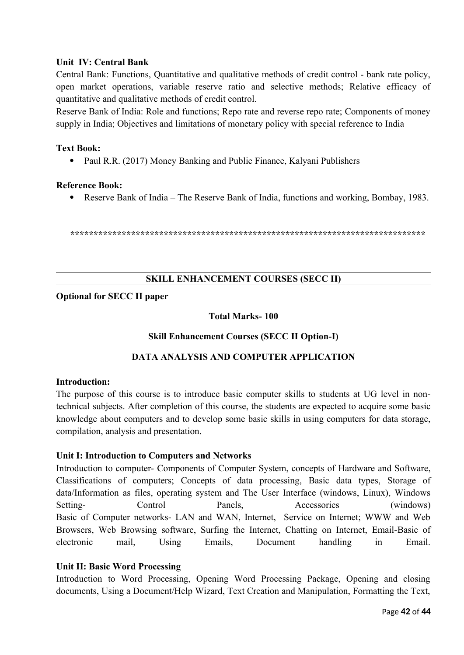## **Unit IV: Central Bank**

Central Bank: Functions, Quantitative and qualitative methods of credit control - bank rate policy, open market operations, variable reserve ratio and selective methods; Relative efficacy of quantitative and qualitative methods of credit control.

Reserve Bank of India: Role and functions; Repo rate and reverse repo rate; Components of money supply in India; Objectives and limitations of monetary policy with special reference to India

#### **Text Book:**

• Paul R.R. (2017) Money Banking and Public Finance, Kalyani Publishers

#### **Reference Book:**

Reserve Bank of India – The Reserve Bank of India, functions and working, Bombay, 1983.

**\*\*\*\*\*\*\*\*\*\*\*\*\*\*\*\*\*\*\*\*\*\*\*\*\*\*\*\*\*\*\*\*\*\*\*\*\*\*\*\*\*\*\*\*\*\*\*\*\*\*\*\*\*\*\*\*\*\*\*\*\*\*\*\*\*\*\*\*\*\*\*\*\*\*\*\***

#### **SKILL ENHANCEMENT COURSES (SECC II)**

## **Optional for SECC II paper**

## **Total Marks- 100**

#### **Skill Enhancement Courses (SECC II Option-I)**

## **DATA ANALYSIS AND COMPUTER APPLICATION**

#### **Introduction:**

The purpose of this course is to introduce basic computer skills to students at UG level in nontechnical subjects. After completion of this course, the students are expected to acquire some basic knowledge about computers and to develop some basic skills in using computers for data storage, compilation, analysis and presentation.

#### **Unit I: Introduction to Computers and Networks**

Introduction to computer- Components of Computer System, concepts of Hardware and Software, Classifications of computers; Concepts of data processing, Basic data types, Storage of data/Information as files, operating system and The User Interface (windows, Linux), Windows Setting- Control Panels, Accessories (windows) Basic of Computer networks- LAN and WAN, Internet, Service on Internet; WWW and Web Browsers, Web Browsing software, Surfing the Internet, Chatting on Internet, Email-Basic of electronic mail, Using Emails, Document handling in Email.

## **Unit II: Basic Word Processing**

Introduction to Word Processing, Opening Word Processing Package, Opening and closing documents, Using a Document/Help Wizard, Text Creation and Manipulation, Formatting the Text,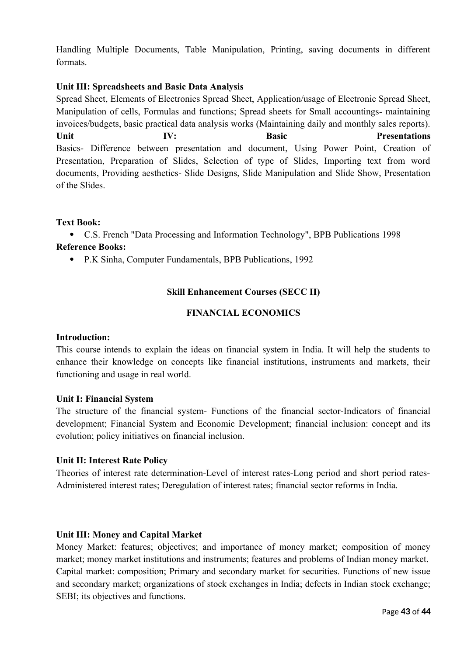Handling Multiple Documents, Table Manipulation, Printing, saving documents in different formats.

## **Unit III: Spreadsheets and Basic Data Analysis**

Spread Sheet, Elements of Electronics Spread Sheet, Application/usage of Electronic Spread Sheet, Manipulation of cells, Formulas and functions; Spread sheets for Small accountings- maintaining invoices/budgets, basic practical data analysis works (Maintaining daily and monthly sales reports). **Unit IV: Basic Presentations** Basics- Difference between presentation and document, Using Power Point, Creation of Presentation, Preparation of Slides, Selection of type of Slides, Importing text from word documents, Providing aesthetics- Slide Designs, Slide Manipulation and Slide Show, Presentation of the Slides.

## **Text Book:**

 C.S. French "Data Processing and Information Technology", BPB Publications 1998 **Reference Books:**

P.K Sinha, Computer Fundamentals, BPB Publications, 1992

## **Skill Enhancement Courses (SECC II)**

## **FINANCIAL ECONOMICS**

#### **Introduction:**

This course intends to explain the ideas on financial system in India. It will help the students to enhance their knowledge on concepts like financial institutions, instruments and markets, their functioning and usage in real world.

#### **Unit I: Financial System**

The structure of the financial system- Functions of the financial sector-Indicators of financial development; Financial System and Economic Development; financial inclusion: concept and its evolution; policy initiatives on financial inclusion.

#### **Unit II: Interest Rate Policy**

Theories of interest rate determination-Level of interest rates-Long period and short period rates-Administered interest rates; Deregulation of interest rates; financial sector reforms in India.

## **Unit III: Money and Capital Market**

Money Market: features; objectives; and importance of money market; composition of money market; money market institutions and instruments; features and problems of Indian money market. Capital market: composition; Primary and secondary market for securities. Functions of new issue and secondary market; organizations of stock exchanges in India; defects in Indian stock exchange; SEBI; its objectives and functions.